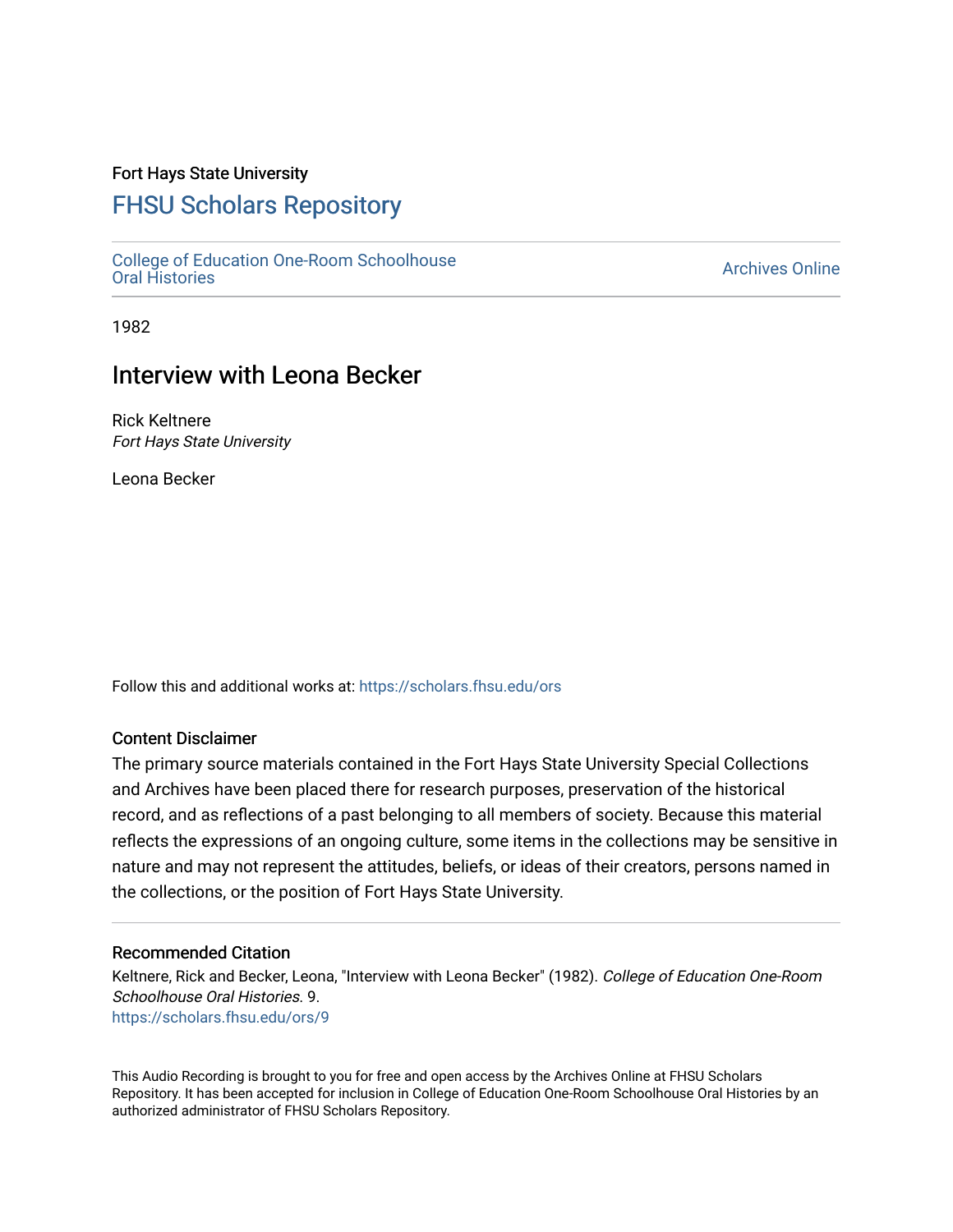### Fort Hays State University

# [FHSU Scholars Repository](https://scholars.fhsu.edu/)

[College of Education One-Room Schoolhouse](https://scholars.fhsu.edu/ors) [Oral Histories](https://scholars.fhsu.edu/ors) [Archives Online](https://scholars.fhsu.edu/archives) 

1982

## Interview with Leona Becker

Rick Keltnere Fort Hays State University

Leona Becker

Follow this and additional works at: [https://scholars.fhsu.edu/ors](https://scholars.fhsu.edu/ors?utm_source=scholars.fhsu.edu%2Fors%2F9&utm_medium=PDF&utm_campaign=PDFCoverPages) 

#### Content Disclaimer

The primary source materials contained in the Fort Hays State University Special Collections and Archives have been placed there for research purposes, preservation of the historical record, and as reflections of a past belonging to all members of society. Because this material reflects the expressions of an ongoing culture, some items in the collections may be sensitive in nature and may not represent the attitudes, beliefs, or ideas of their creators, persons named in the collections, or the position of Fort Hays State University.

#### Recommended Citation

Keltnere, Rick and Becker, Leona, "Interview with Leona Becker" (1982). College of Education One-Room Schoolhouse Oral Histories. 9. [https://scholars.fhsu.edu/ors/9](https://scholars.fhsu.edu/ors/9?utm_source=scholars.fhsu.edu%2Fors%2F9&utm_medium=PDF&utm_campaign=PDFCoverPages) 

This Audio Recording is brought to you for free and open access by the Archives Online at FHSU Scholars Repository. It has been accepted for inclusion in College of Education One-Room Schoolhouse Oral Histories by an authorized administrator of FHSU Scholars Repository.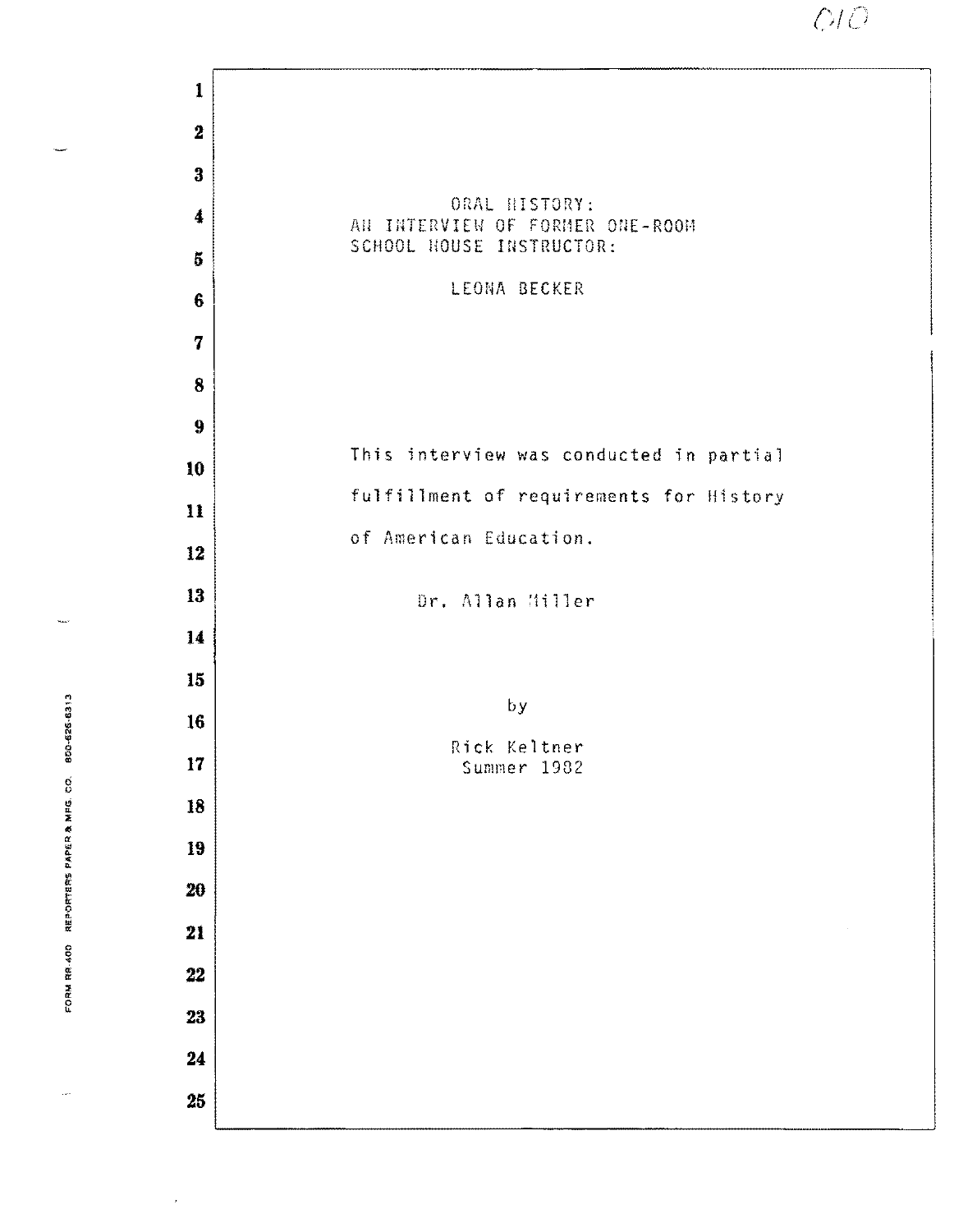$O$ 

|                                            | $\mathbf{1}$            |                                                  |
|--------------------------------------------|-------------------------|--------------------------------------------------|
|                                            | $\bf 2$                 |                                                  |
|                                            | $\bf{3}$                |                                                  |
|                                            | $\boldsymbol{4}$        | ORAL HISTORY:<br>AN INTERVIEW OF FORMER ONE-ROOM |
|                                            | $\overline{\mathbf{5}}$ | SCHOOL HOUSE INSTRUCTOR:                         |
|                                            | $6\phantom{1}$          | LEONA BECKER                                     |
|                                            | $\overline{7}$          |                                                  |
|                                            | 8                       |                                                  |
|                                            | $\boldsymbol{9}$        |                                                  |
|                                            | 10                      | This interview was conducted in partial          |
|                                            | 11                      | fulfillment of requirements for History          |
|                                            | 12                      | of American Education.                           |
|                                            | 13                      | Dr. Allan Miller                                 |
|                                            | 14                      |                                                  |
|                                            | 15                      |                                                  |
| 800-626-6313                               | 16                      | by                                               |
|                                            | 17                      | Rick Keltner<br>Summer 1982                      |
| 1004 我的女 森 大学会社 のおおかけ 一般の こうしょう かいきょう かいこう | 18                      |                                                  |
|                                            | 19                      |                                                  |
|                                            | 20                      |                                                  |
|                                            | 21                      |                                                  |
|                                            | 22                      |                                                  |
|                                            | 23                      |                                                  |
|                                            | $\bf 24$                |                                                  |
|                                            | 25                      |                                                  |
|                                            |                         |                                                  |

....

 $\overline{\phantom{a}}$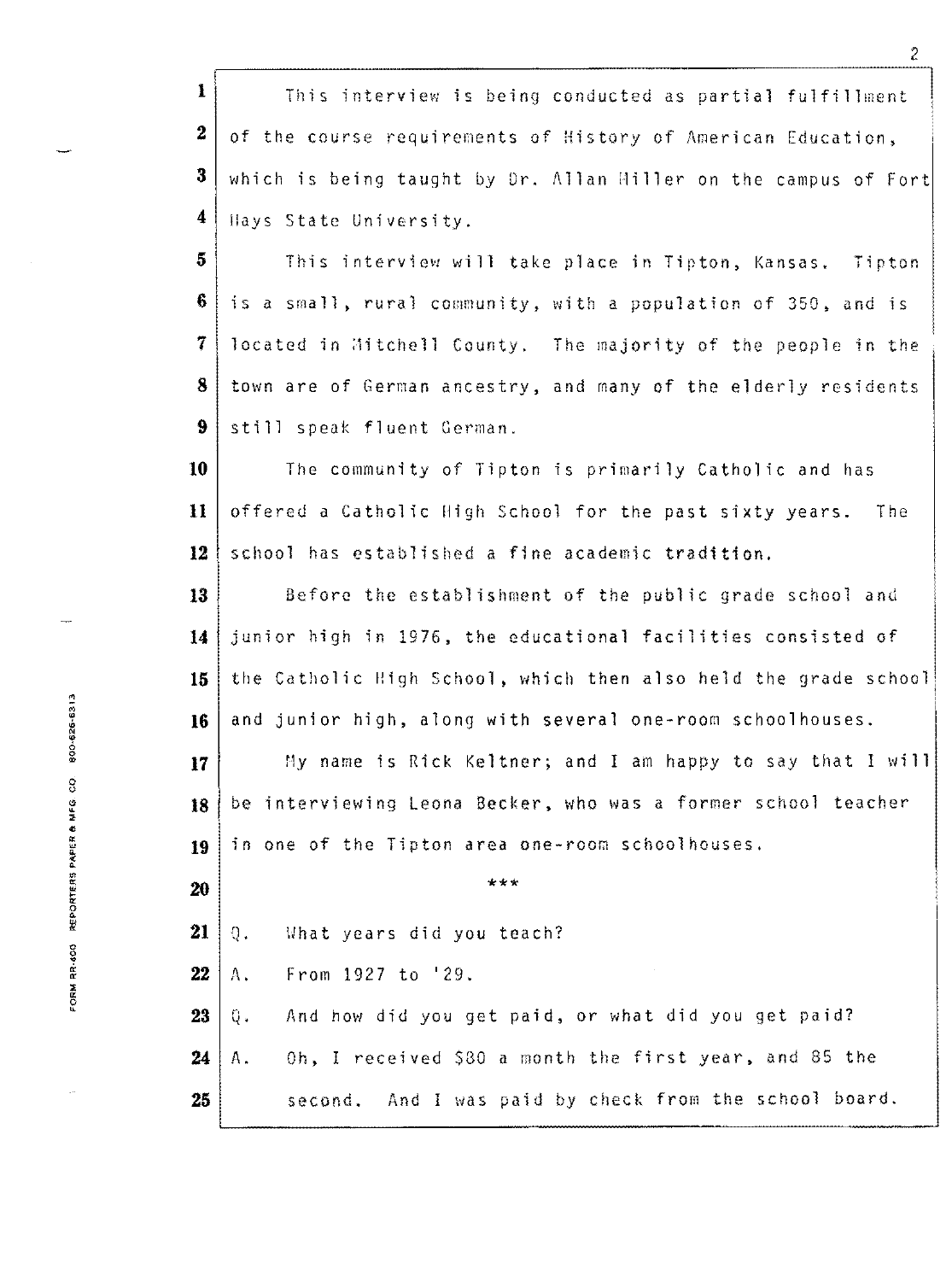1 This interview is being conducted as partial fulfillment of the course requirements of History of American Education, which is being taught by Dr. Allan 11il1er on the campus of Fort llays State University.

This interview will take place in Tipton, Kansas. Tipton is a small, rural community, with a population of 350, and is **located in Aitchell County.** The majority of the people in the town are of German ancestry, and many of the elderly residents still speak fluent German.

10 The community of Tipton is primarily Catholic and has 11 offered a Catholic High School for the past sixty years. The 12 school has established a fine academic tradition.

**13** Before the establishment of the public grade school and **<sup>14</sup>**junior high in 1976, the educational facilities consisted of 15 the Catholic High School, which then also held the grade school 16 and junior high, along with several one-room schoolhouses.

17<sup>t</sup> My name is Rick Keltner; and I am happy to say that I will **18** be interviewing Leona Becker, who was a former school teacher 19 | in one of the Tipton area one-room schoolhouses.

\*\*\*

 $21 | 0.$ Vhat years did you teach?

**22**   $A_{\star}$ From 1927 to '29.

**23**  And how did you get paid, or what did you get paid? 0. Oh, I received \$30 a month the first year, and 85 the  $24$  | A. **26**  second. And I was paid by check from the school board.

**20**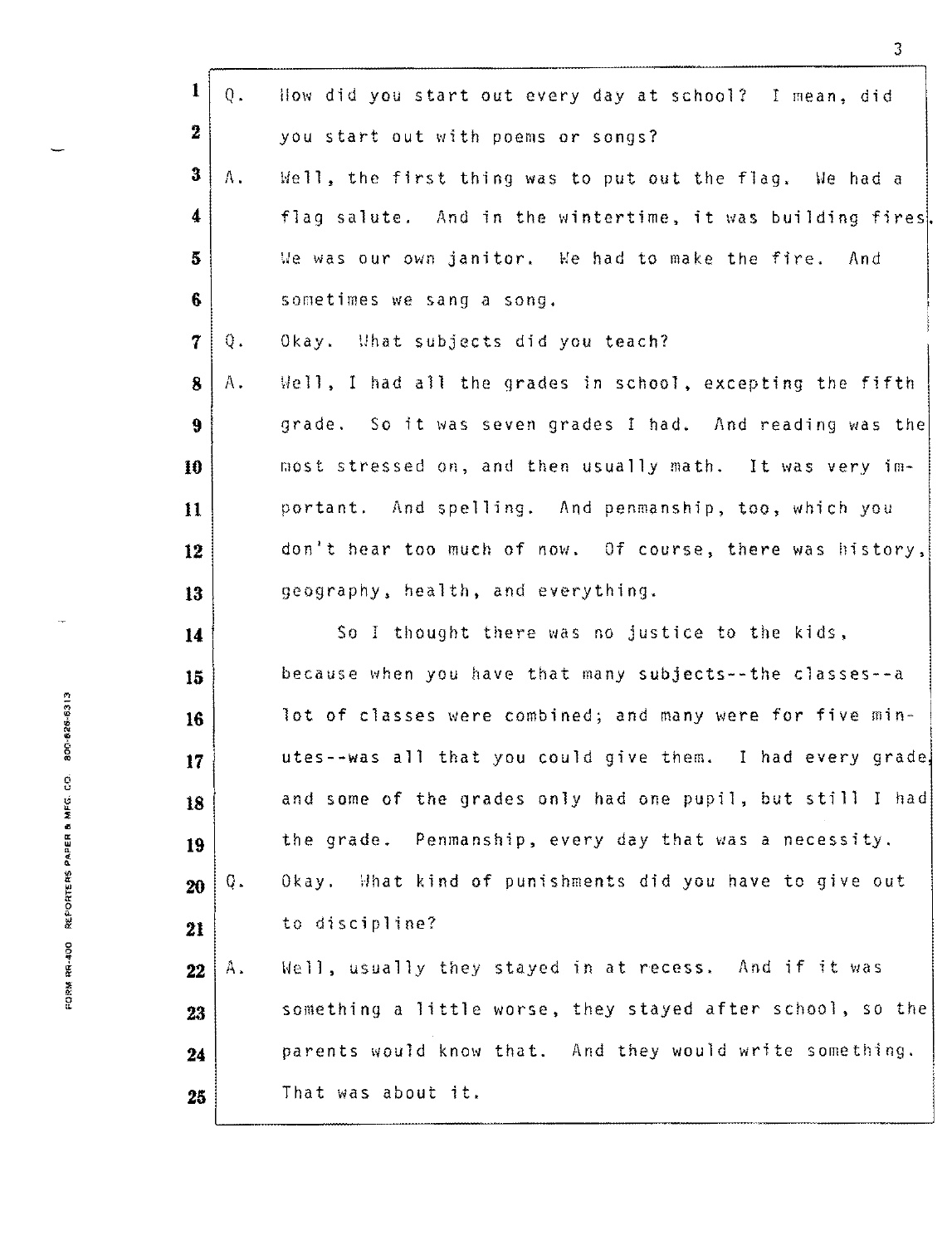| 1                | $Q_{\infty}$ | How did you start out every day at school? I mean, did     |
|------------------|--------------|------------------------------------------------------------|
| $\mathbf 2$      |              | you start out with poems or songs?                         |
| $\bf{3}$         | Α.           | Well, the first thing was to put out the flag. We had a    |
| $\boldsymbol{4}$ |              | flag salute. And in the wintertime, it was building fires. |
| $\overline{5}$   |              | We was our own janitor. We had to make the fire. And       |
| 6                |              | sometimes we sang a song.                                  |
| $\boldsymbol{7}$ | Q.           | Okay. What subjects did you teach?                         |
| $\bf{8}$         | $A$ .        | Well, I had all the grades in school, excepting the fifth  |
| 9                |              | grade. So it was seven grades I had. And reading was the   |
| 10               |              | most stressed on, and then usually math. It was very im-   |
| 11               |              | portant. And spelling. And penmanship, too, which you      |
| 12               |              | don't hear too much of now. Of course, there was history,  |
| 13               |              | geography, health, and everything.                         |
| 14               |              | So I thought there was no justice to the kids,             |
| 15               |              | because when you have that many subjects--the classes--a   |
| 16               |              | lot of classes were combined; and many were for five min-  |
| 17               |              | utes--was all that you could give them. I had every grade, |
| 18               |              | and some of the grades only had one pupil, but still I had |
| 19               |              | the grade. Penmanship, every day that was a necessity.     |
| 20               | Q.           | Okay. What kind of punishments did you have to give out    |
| 21               |              | to discipline?                                             |
| 22               | Α.           | Well, usually they stayed in at recess. And if it was      |
| 23               |              | something a little worse, they stayed after school, so the |
| 24               |              | parents would know that. And they would write something.   |
| 25               |              | That was about it.                                         |

3

FORM RR-400 REPORTERS PAPER B MFG. CD. 800-626-8313

÷,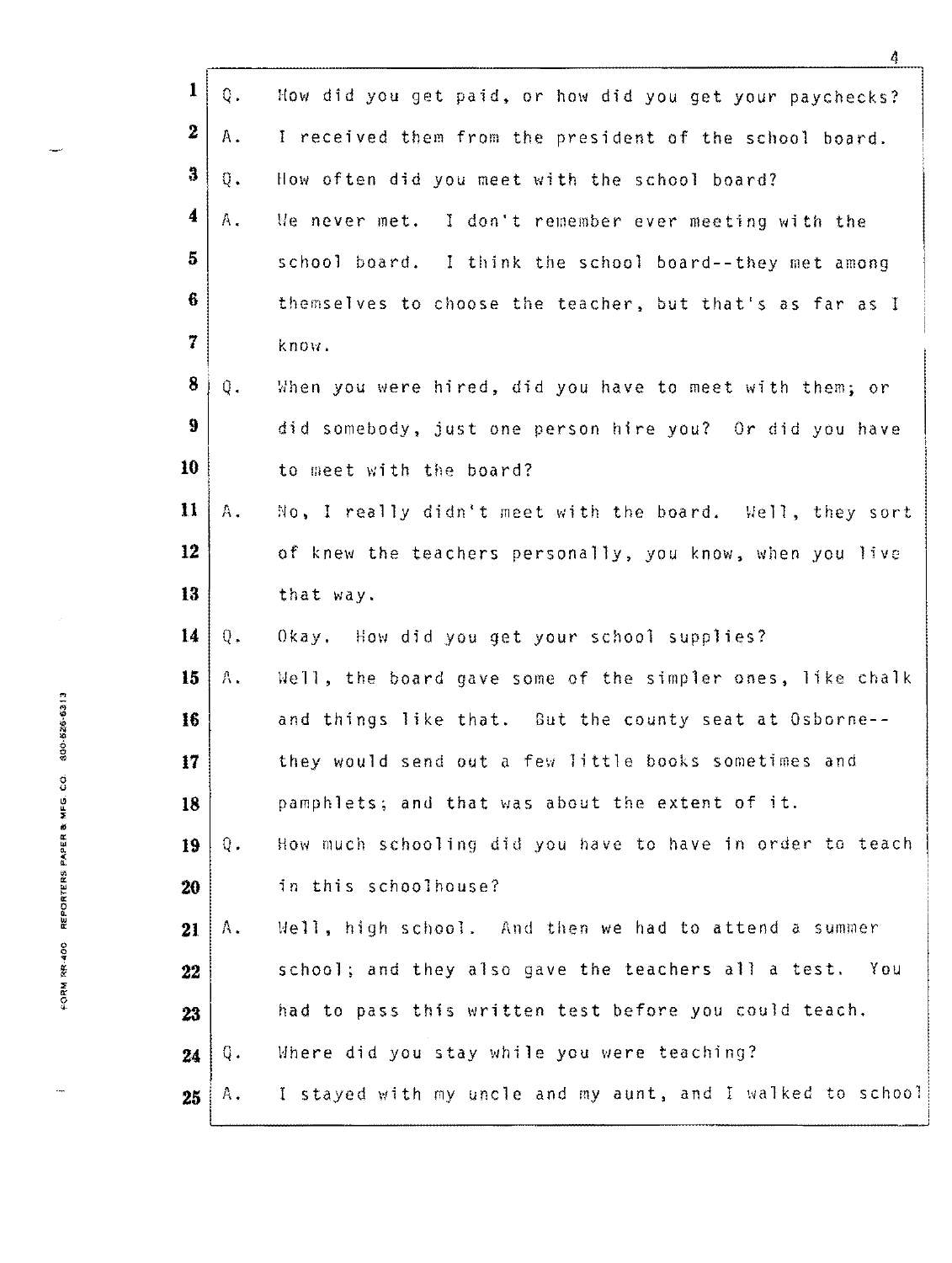| $\mathbf{1}$                    | Q.             | How did you get paid, or how did you get your paychecks?   |
|---------------------------------|----------------|------------------------------------------------------------|
| $\boldsymbol{2}$                | Α.             | I received them from the president of the school board.    |
| $\mathbf{3}$                    | $\mathbb{Q}$ . | How often did you meet with the school board?              |
| 4                               | $A_{\bullet}$  | We never met. I don't remember ever meeting with the       |
| 5                               |                | school board. I think the school board--they met among     |
| 6                               |                | themselves to choose the teacher, but that's as far as I   |
| 7                               |                | know.                                                      |
| 8                               | $Q_{\star}$    | When you were hired, did you have to meet with them; or    |
| 9                               |                | did somebody, just one person hire you? Or did you have    |
| 10                              |                | to meet with the board?                                    |
| $\mathbf{11}$                   | Α.             | No, I really didn't meet with the board. Well, they sort   |
| 12                              |                | of knew the teachers personally, you know, when you live   |
| 13                              |                | that way.                                                  |
| 14                              | $Q_{\star}$    | Okay. How did you get your school supplies?                |
| 15                              | Α.             | Well, the board gave some of the simpler ones, like chalk  |
| 800-525-6313<br>16              |                | and things like that. But the county seat at Osborne--     |
| 17 <sub>1</sub>                 |                | they would send out a few little books sometimes and       |
| REPORTERS PAPER & MFG. CO<br>18 |                | pamphlets; and that was about the extent of it.            |
| 19                              | $0$ .          | How much schooling did you have to have in order to teach  |
| 20                              |                | in this schoolhouse?                                       |
| 21                              | $A_{\bullet}$  | Well, high school. And then we had to attend a summer      |
| FORM RR-400<br>22               |                | school; and they also gave the teachers all a test. You    |
| 23                              |                | had to pass this written test before you could teach.      |
| 24                              | Q.             | Where did you stay while you were teaching?                |
| 25                              | Α.             | I stayed with my uncle and my aunt, and I walked to school |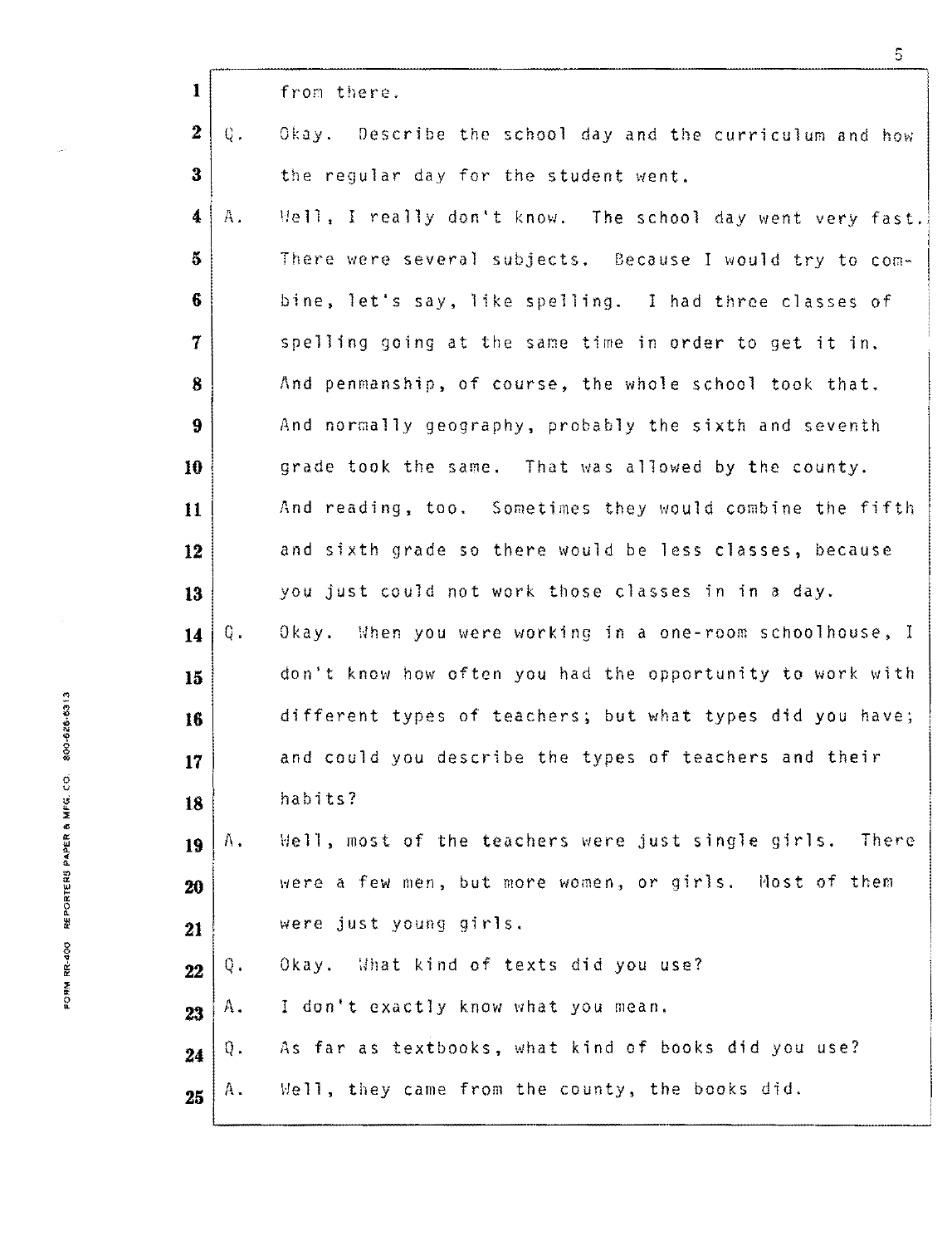| $\mathbf{I}$         |    | from there.                                               |
|----------------------|----|-----------------------------------------------------------|
| $\boldsymbol{2}$     | Q. | Okay. Describe the school day and the curriculum and how  |
| $\bf{3}$             |    | the regular day for the student went.                     |
| $\blacktriangleleft$ | A. | Mell, I really don't know. The school day went very fast. |
| 5                    |    | There were several subjects. Because I would try to com-  |
| 6                    |    | bine, let's say, like spelling. I had three classes of    |
| $\overline{7}$       |    | spelling going at the same time in order to get it in.    |
| 8                    |    | And penmanship, of course, the whole school took that.    |
| 9                    |    | And normally geography, probably the sixth and seventh    |
| 10                   |    | grade took the same. That was allowed by the county.      |
| 11                   |    | And reading, too. Sometimes they would combine the fifth  |
| 12                   |    | and sixth grade so there would be less classes, because   |
| 13                   |    | you just could not work those classes in in a day.        |
| 14                   | Q. | Okay. When you were working in a one-room schoolhouse, I  |
| 15                   |    | don't know how often you had the opportunity to work with |
| 16                   |    | different types of teachers; but what types did you have; |
| 17                   |    | and could you describe the types of teachers and their    |
| 18                   |    | habits?                                                   |
| 19                   | Α. | Well, most of the teachers were just single girls. There  |
| 20                   |    | were a few men, but more women, or girls. Most of them    |
| 21                   |    | were just young girls.                                    |
| 22                   | Q. | Okay. What kind of texts did you use?                     |
| 23                   | Α. | I don't exactly know what you mean.                       |
| 24                   | ą. | As far as textbooks, what kind of books did you use?      |
| 25                   | Α. | Well, they came from the county, the books did.           |
|                      |    |                                                           |

FORM RR-400 REPORTERS PAPER & MFG. CO. 800-626-6313

j.

5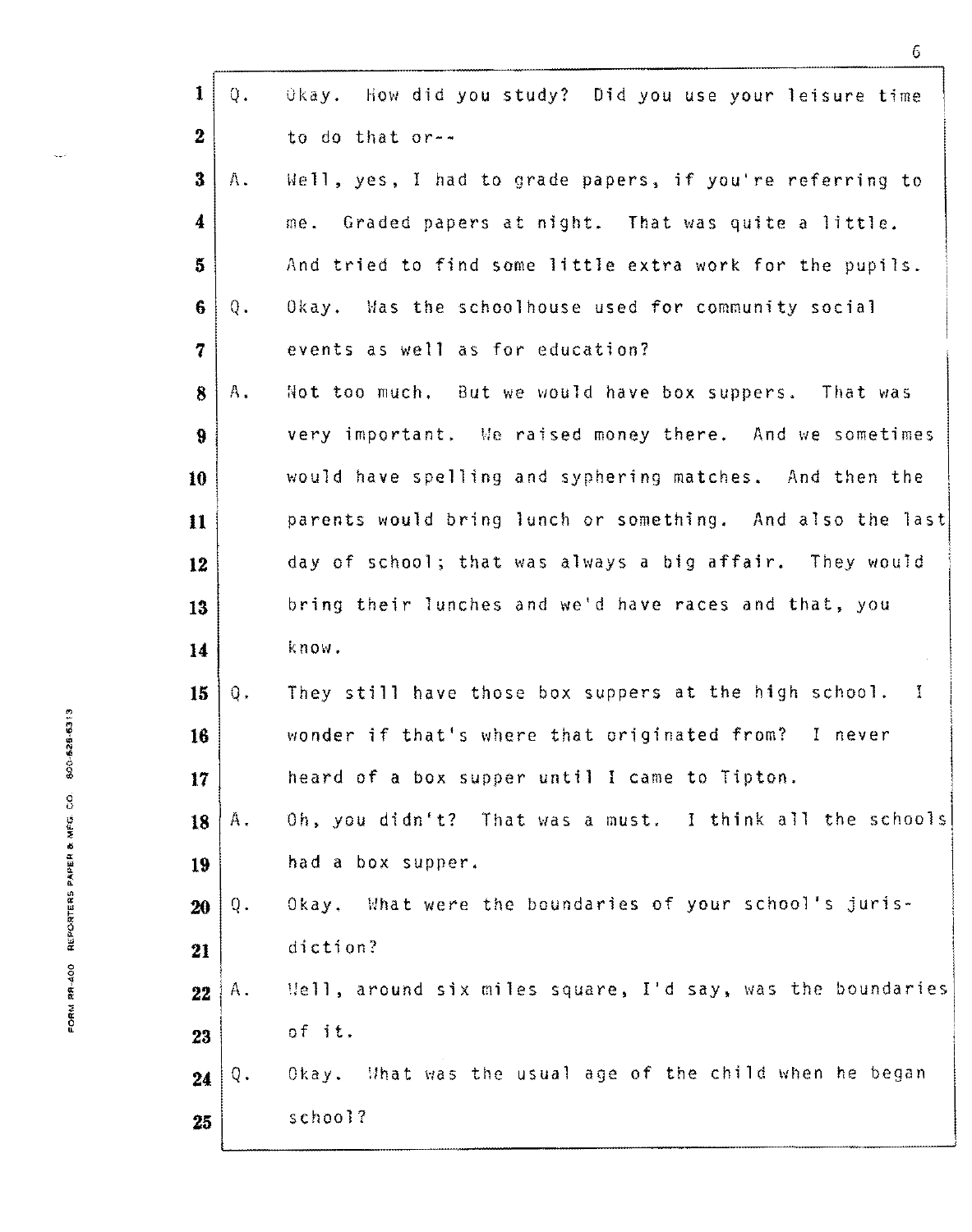|                                       | $\mathbf{1}$             | Okay. How did you study? Did you use your leisure time<br>Q.                |
|---------------------------------------|--------------------------|-----------------------------------------------------------------------------|
|                                       | $\overline{2}$           | to do that or--                                                             |
|                                       | 3                        | Well, yes, I had to grade papers, if you're referring to<br>Α.              |
|                                       | 4                        | me. Graded papers at night. That was quite a little.                        |
|                                       | 5                        | And tried to find some little extra work for the pupils.                    |
|                                       | 6                        | Okay. Was the schoolhouse used for community social<br>Q.                   |
|                                       | $\overline{\mathcal{U}}$ | events as well as for education?                                            |
|                                       | 8                        | Not too much. But we would have box suppers. That was<br>Α.                 |
|                                       | 9                        | very important. We raised money there. And we sometimes                     |
|                                       | 10                       | would have spelling and syphering matches. And then the                     |
|                                       | 11                       | parents would bring lunch or something. And also the last                   |
|                                       | 12                       | day of school; that was always a big affair. They would                     |
|                                       | 13                       | bring their lunches and we'd have races and that, you                       |
|                                       | 14                       | know.                                                                       |
|                                       | 15                       | They still have those box suppers at the high school.<br>$\mathbf{I}$<br>Q. |
| 00-00-009-009                         | 16                       | wonder if that's where that originated from? I never                        |
|                                       | 17                       | heard of a box supper until I came to Tipton.                               |
| FORM SER-400 REPORTERS PAPER & MFG CO | 18                       | Oh, you didn't? That was a must. I think all the schools<br>$A$ .           |
|                                       | 19                       | had a box supper.                                                           |
|                                       | 20                       | Okay. What were the boundaries of your school's juris-<br>Q.                |
|                                       | 21                       | diction?                                                                    |
|                                       | 22                       | Well, around six miles square, I'd say, was the boundaries<br>Α.            |
|                                       | 23                       | of it.                                                                      |
|                                       | 24                       | Okay. What was the usual age of the child when he began<br>Q.               |
|                                       | 25                       | school?                                                                     |

 $\zeta_{\sigma}$  .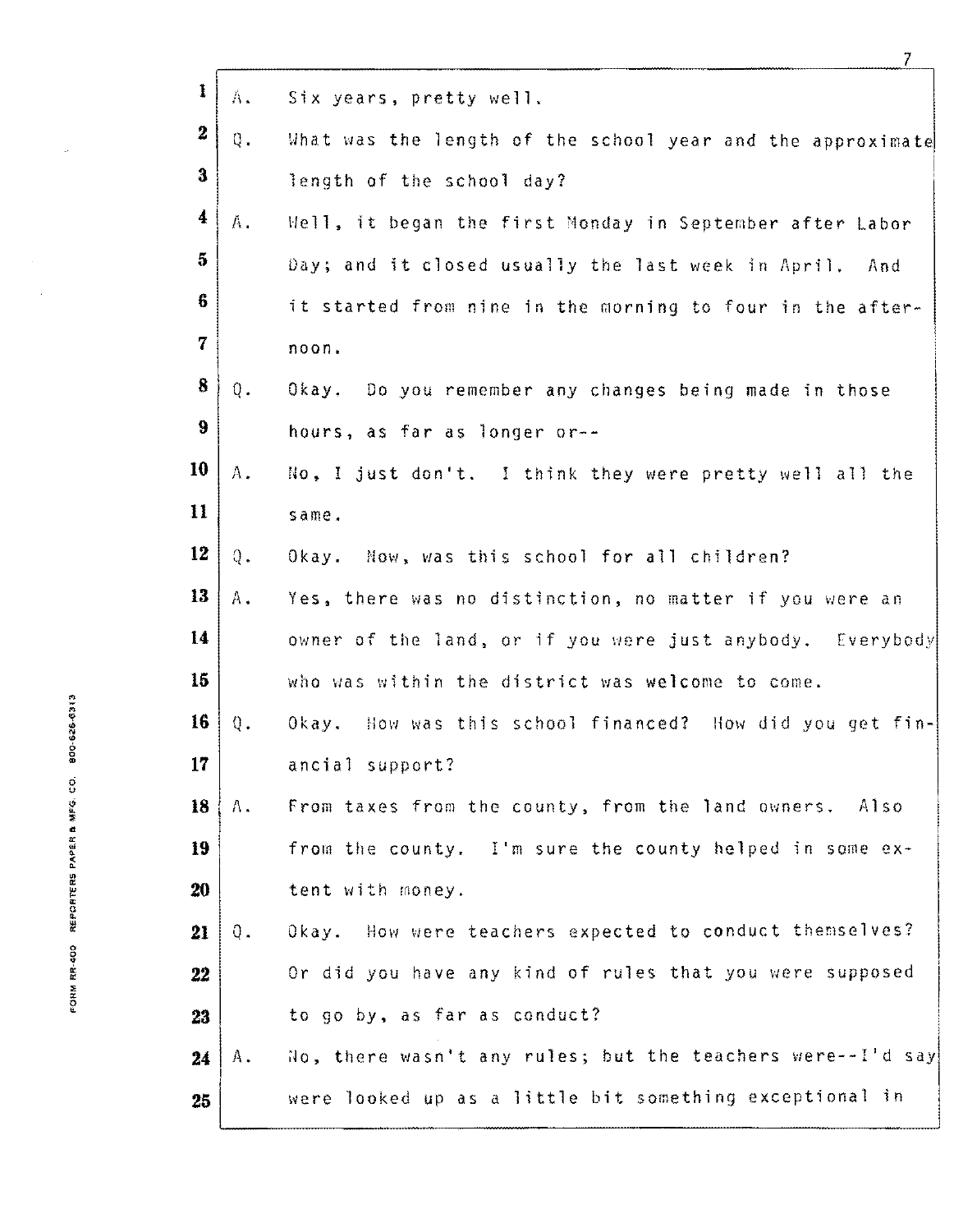| Λ.            | Six years, pretty well.                                    |
|---------------|------------------------------------------------------------|
| Q.            | What was the length of the school year and the approximate |
|               | length of the school day?                                  |
| A.            | Well, it began the first Monday in September after Labor   |
|               | Day; and it closed usually the last week in April. And     |
|               | it started from nine in the morning to four in the after-  |
|               | noon.                                                      |
| Q.            | Okay. Do you remember any changes being made in those      |
|               | hours, as far as longer or--                               |
| Α.            | No, I just don't. I think they were pretty well all the    |
|               | same.                                                      |
| $Q_{\bullet}$ | Mow, was this school for all children?<br>Okay.            |
| Α.            | Yes, there was no distinction, no matter if you were an    |
|               | owner of the land, or if you were just anybody. Everybody  |
|               | who was within the district was welcome to come.           |
| $\mathbb Q$ . | Okay. How was this school financed? How did you get fin-   |
|               | ancial support?                                            |
| Λ.            | From taxes from the county, from the land owners. Also     |
|               | from the county. I'm sure the county helped in some ex-    |
|               | tent with money.                                           |
| Q.            | Okay. How were teachers expected to conduct themselves?    |
|               | Or did you have any kind of rules that you were supposed   |
|               | to go by, as far as conduct?                               |
| Α.            | No, there wasn't any rules; but the teachers were--I'd say |
|               | were looked up as a little bit something exceptional in    |
|               |                                                            |

 $\overline{\phantom{a}}$ 

 $\hat{\boldsymbol{\beta}}$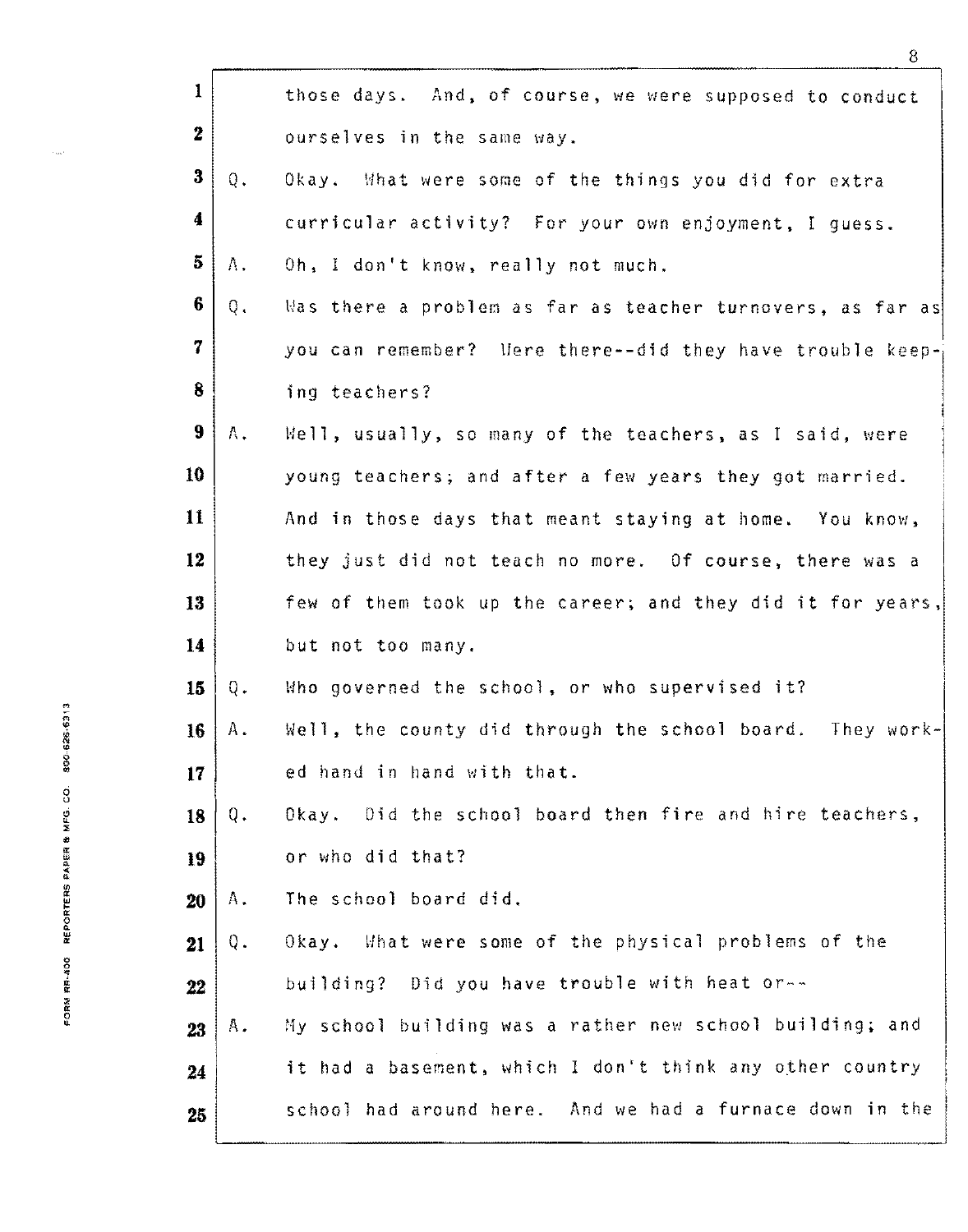| $\mathbf{1}$            |               | those days. And, of course, we were supposed to conduct    |
|-------------------------|---------------|------------------------------------------------------------|
| $\overline{\mathbf{2}}$ |               |                                                            |
|                         |               | ourselves in the same way.                                 |
| $\bf{3}$                | $Q_{\star}$   | Okay. What were some of the things you did for extra       |
| $\boldsymbol{4}$        |               | curricular activity? For your own enjoyment, I guess.      |
| $\overline{5}$          | Λ.            | Oh, I don't know, really not much.                         |
| $6\phantom{1}$          | $Q_{\bullet}$ | Was there a problem as far as teacher turnovers, as far as |
| 7                       |               | you can remember? Here there--did they have trouble keep-  |
| 8                       |               | ing teachers?                                              |
| 9                       | A.            | Well, usually, so many of the teachers, as I said, were    |
| 10                      |               | young teachers; and after a few years they got married.    |
| 11                      |               | And in those days that meant staying at home. You know,    |
| 12                      |               | they just did not teach no more. Of course, there was a    |
| 13                      |               | few of them took up the career; and they did it for years, |
| 14                      |               | but not too many.                                          |
| 15                      | Q.            | Who governed the school, or who supervised it?             |
| 16                      | Α.            | Well, the county did through the school board. They work-  |
| 17                      |               | ed hand in hand with that.                                 |
| 18                      | Q.            | Okay. Did the school board then fire and hire teachers,    |
| 19                      |               | or who did that?                                           |
| 20                      | A,            | The school board did.                                      |
| 21                      | Q.            | Okay. What were some of the physical problems of the       |
| 22                      |               | building? Did you have trouble with heat or--              |
| 23                      | Α.            | My school building was a rather new school building; and   |
| 24                      |               | it had a basement, which I don't think any other country   |
| 25                      |               | school had around here. And we had a furnace down in the   |
|                         |               |                                                            |

 $\hat{\phi}_{\rm max}$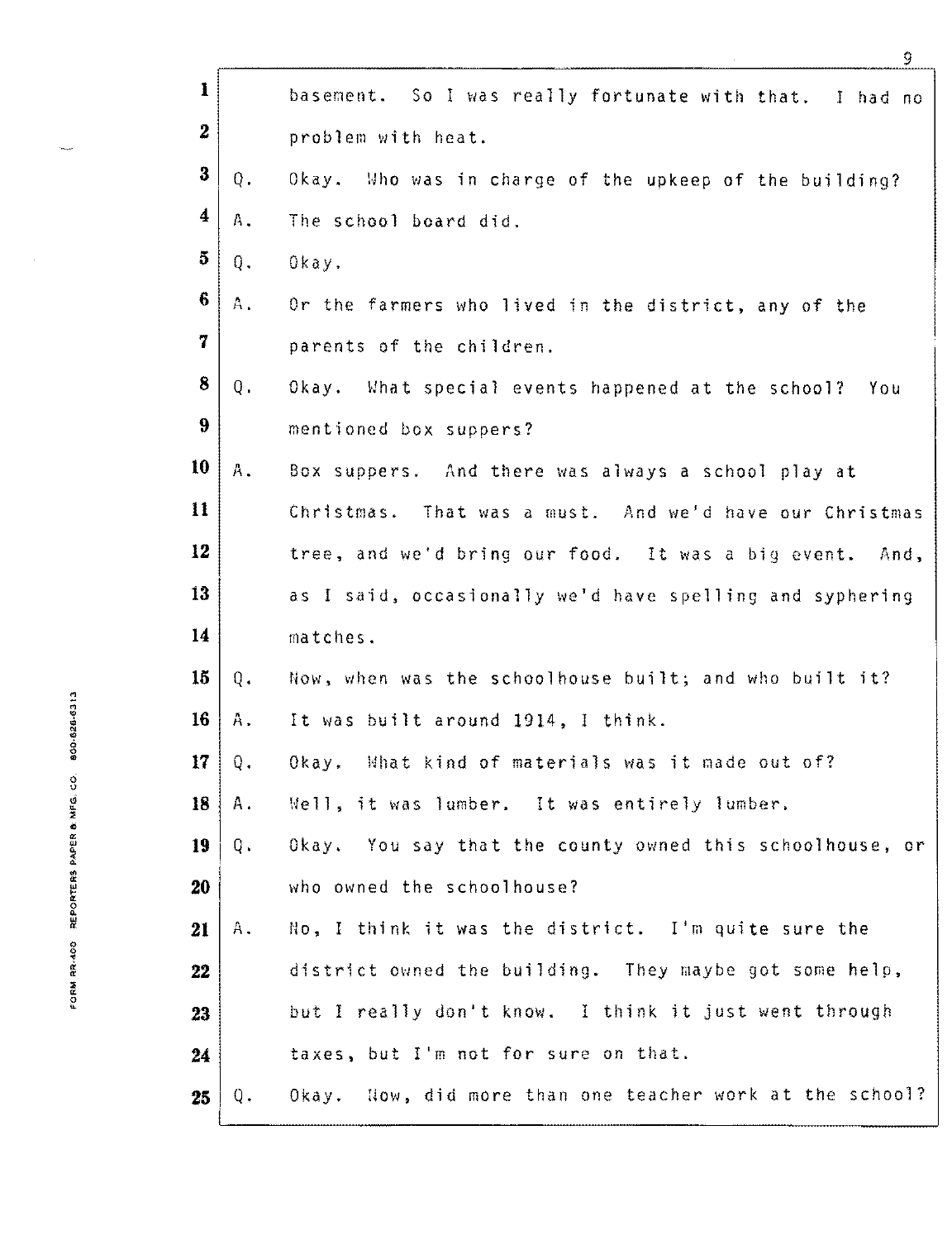| $\mathbf{1}$         |               | basement. So I was really fortunate with that. I had no  |
|----------------------|---------------|----------------------------------------------------------|
| $\boldsymbol{2}$     |               | problem with heat.                                       |
| 3                    | $Q$ .         | Okay. Who was in charge of the upkeep of the building?   |
| $\blacktriangleleft$ | Α.            | The school board did.                                    |
| 5                    | Q.            | Okay.                                                    |
| 6                    | Α.            | Or the farmers who lived in the district, any of the     |
| 7                    |               | parents of the children.                                 |
| 8                    | Q.            | Okay. What special events happened at the school? You    |
| $9\phantom{.}$       |               | mentioned box suppers?                                   |
| 10                   | Α.            | Box suppers. And there was always a school play at       |
| 11                   |               | Christmas. That was a must. And we'd have our Christmas  |
| 12                   |               | tree, and we'd bring our food. It was a big event. And,  |
| 13                   |               | as I said, occasionally we'd have spelling and syphering |
| 14                   |               | matches.                                                 |
| 15                   | $Q_{\bullet}$ | Now, when was the schoolhouse built; and who built it?   |
| 16                   | $A$ .         | It was built around 1914, I think.                       |
|                      | $17$   0.     | Okay. What kind of materials was it made out of?         |
| 18                   | Α.            | Well, it was lumber. It was entirely lumber.             |
| 19                   | Q.            | Okay. You say that the county owned this schoolhouse, or |
| 20                   |               | who owned the schoolhouse?                               |
| 21                   | Α.            | No, I think it was the district. I'm quite sure the      |
| 22                   |               | district owned the building. They maybe got some help,   |
| 23                   |               | but I really don't know. I think it just went through    |
| 24                   |               | taxes, but I'm not for sure on that.                     |
| 25                   | Q.            | Okay. Now, did more than one teacher work at the school? |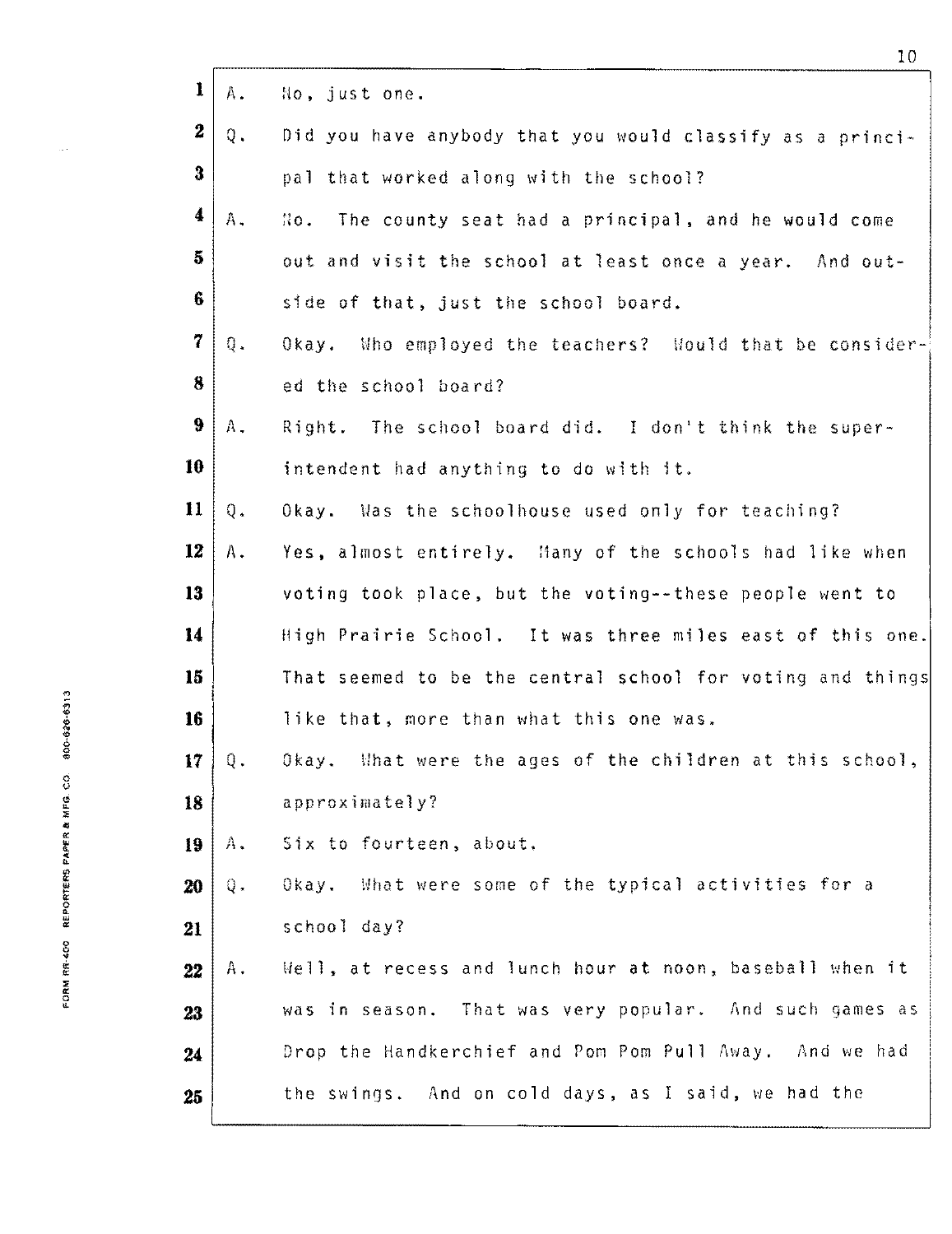| $\mathbf{I}$     | Α.             | No, just one.                                              |
|------------------|----------------|------------------------------------------------------------|
| $\boldsymbol{z}$ | Q.             | Did you have anybody that you would classify as a princi-  |
| $\bf{3}$         |                | pal that worked along with the school?                     |
| 4                | A.             | The county seat had a principal, and he would come<br>No.  |
| 5                |                | out and visit the school at least once a year. And out-    |
| 6                |                | side of that, just the school board.                       |
| 7                | $\mathbb{Q}$ . | Okay. Who employed the teachers? Would that be consider-   |
| 8                |                | ed the school board?                                       |
| $\ddot{\theta}$  | Α.             | Right. The school board did. I don't think the super-      |
| 10               |                | intendent had anything to do with it.                      |
| 11               | $Q$ .          | Okay. Was the schoolhouse used only for teaching?          |
| 12               | Α.             | Yes, almost entirely. Many of the schools had like when    |
| 13               |                | voting took place, but the voting--these people went to    |
| 14               |                | High Prairie School. It was three miles east of this one.  |
| 15               |                | That seemed to be the central school for voting and things |
| 16               |                | like that, more than what this one was.                    |
| 17 <sub>1</sub>  | Q.             | Okay. What were the ages of the children at this school,   |
| 18               |                | approximately?                                             |
| 19               | $A$ .          | Six to fourteen, about.                                    |
| 20               | Q.             | Okay. What were some of the typical activities for a       |
| 21               |                | school day?                                                |
| 22               | Α.             | Well, at recess and lunch hour at noon, baseball when it   |
| 23               |                | was in season. That was very popular. And such games as    |
| 24               |                | Drop the Handkerchief and Pom Pom Pull Away. And we had    |
| 25               |                | the swings. And on cold days, as I said, we had the        |

 $\mathbf{r}$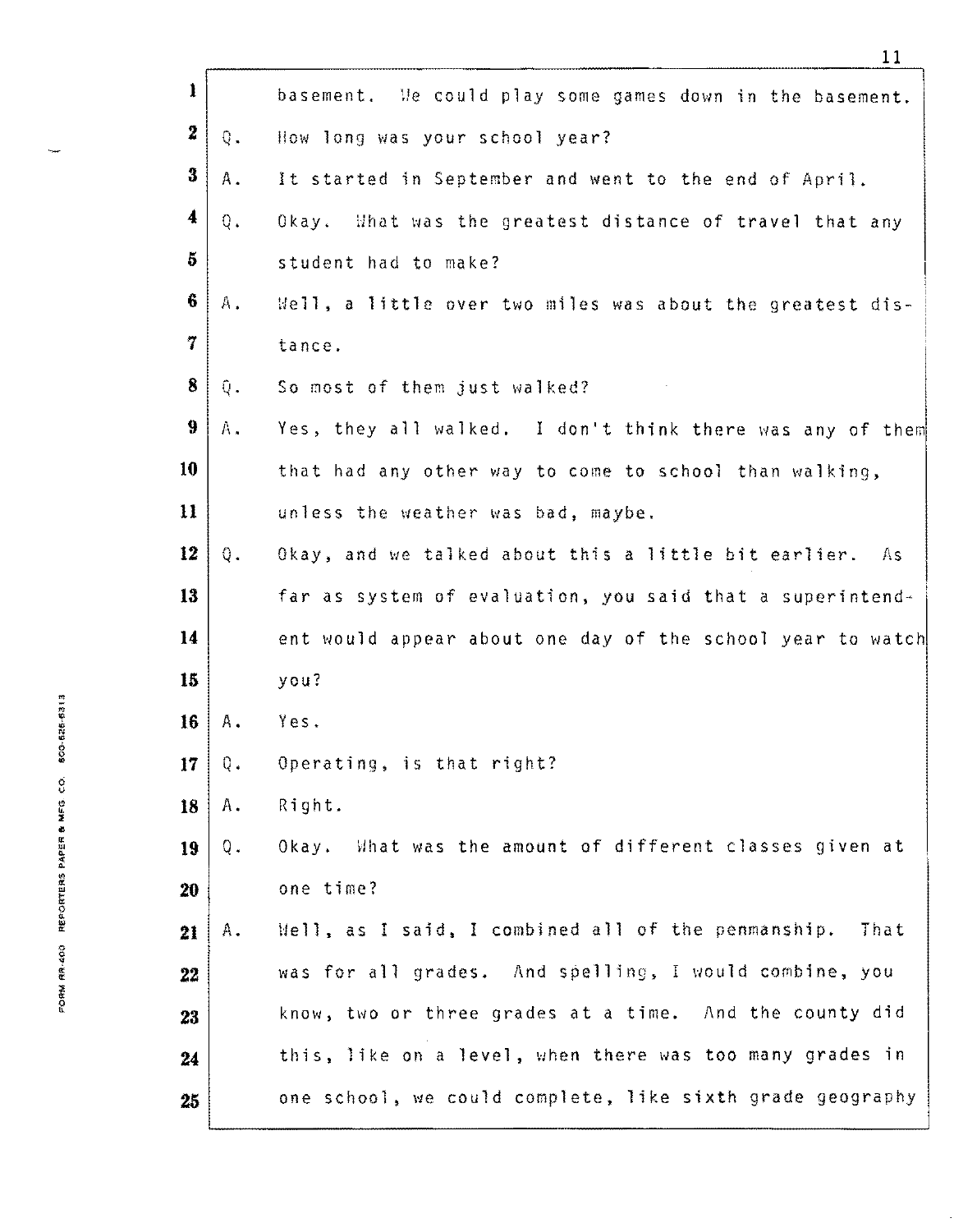|                                      | $\mathbf{I}$         |               | basement. We could play some games down in the basement.    |
|--------------------------------------|----------------------|---------------|-------------------------------------------------------------|
|                                      | $\boldsymbol{2}$     | $Q_{\bullet}$ | How long was your school year?                              |
|                                      | 3                    | Α.            | It started in September and went to the end of April.       |
|                                      | $\blacktriangleleft$ | $Q_{\star}$   | Okay. What was the greatest distance of travel that any     |
|                                      | 5                    |               | student had to make?                                        |
|                                      | 6                    | А.            | Well, a little over two miles was about the greatest dis-   |
|                                      | 7                    |               | tance.                                                      |
|                                      | 8                    | Q.            | So most of them just walked?                                |
|                                      | 9                    | Α.            | Yes, they all walked. I don't think there was any of them   |
|                                      | 10                   |               | that had any other way to come to school than walking,      |
|                                      | $\mathbf{11}$        |               | unless the weather was bad, maybe.                          |
|                                      | 12                   | Q.            | Okay, and we talked about this a little bit earlier.<br>As. |
|                                      | 13                   |               | far as system of evaluation, you said that a superintend-   |
|                                      | 14                   |               | ent would appear about one day of the school year to watch  |
|                                      | 15                   |               | you?                                                        |
| 的一角心--92250-0000                     | 16                   | Α.            | Yes.                                                        |
|                                      | 17 <sub>1</sub>      | Q.            | Operating, is that right?                                   |
|                                      | 18                   | Α.            | Right.                                                      |
|                                      | 19                   | Q.            | Okay. What was the amount of different classes given at     |
|                                      | 20                   |               | one time?                                                   |
| FORM まな"400 A的toblish byte e Mean Co | 21                   | Α.            | Well, as I said, I combined all of the penmanship.<br>That  |
|                                      | 22                   |               | was for all grades. And spelling, I would combine, you      |
|                                      | 23                   |               | know, two or three grades at a time. And the county did     |
|                                      | 24                   |               | this, like on a level, when there was too many grades in    |
|                                      | 25                   |               | one school, we could complete, like sixth grade geography   |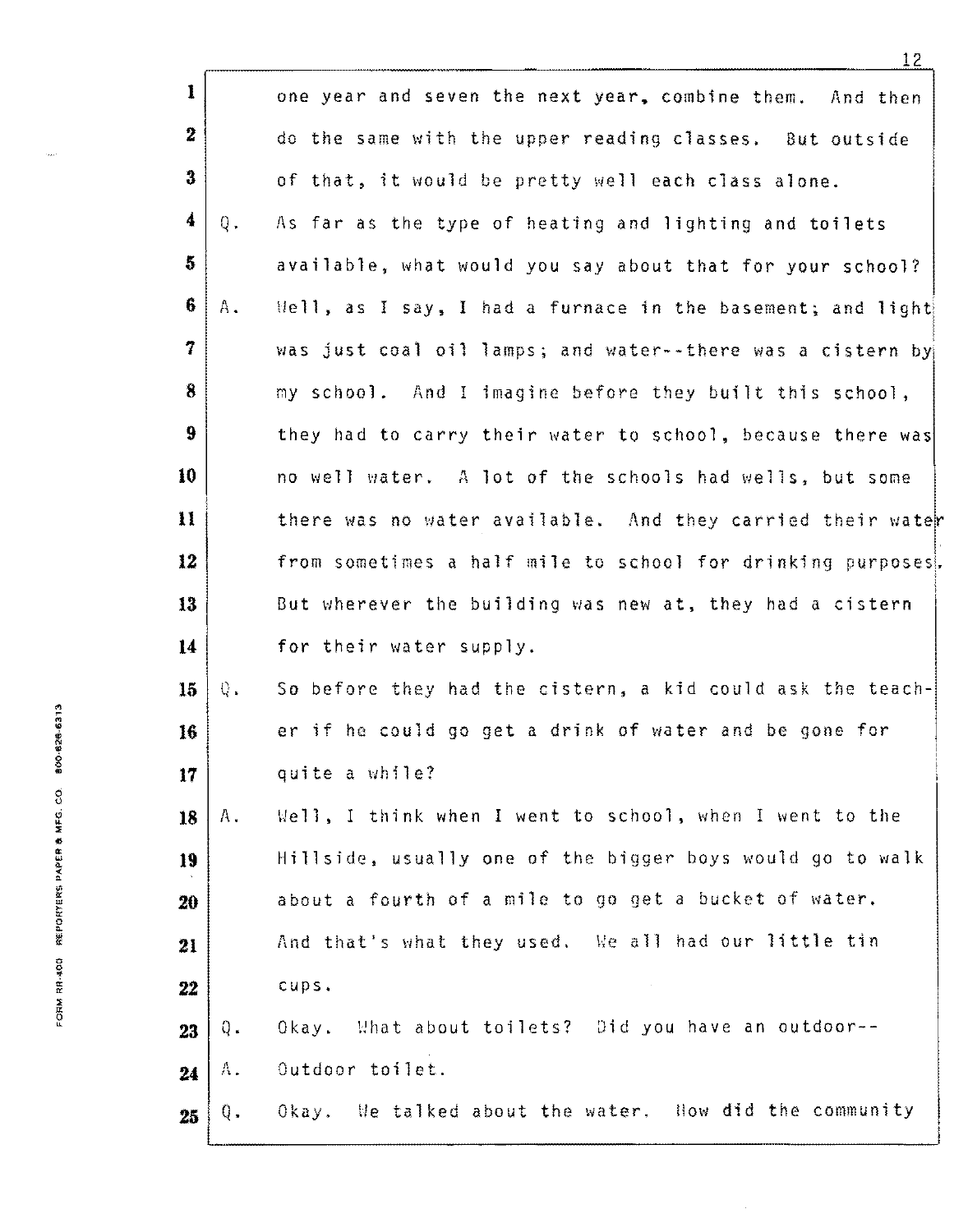|                                       | $\mathbf{I}$            |       | one year and seven the next year, combine them. And then    |
|---------------------------------------|-------------------------|-------|-------------------------------------------------------------|
|                                       | $\boldsymbol{2}$        |       | do the same with the upper reading classes. But outside     |
|                                       | $\bf{3}$                |       | of that, it would be pretty well each class alone.          |
|                                       | 4                       | Q.    | As far as the type of heating and lighting and toilets      |
|                                       | $\overline{\mathbf{5}}$ |       | available, what would you say about that for your school?   |
|                                       | 6                       | Α.    | Well, as I say, I had a furnace in the basement; and light  |
|                                       | 7                       |       | was just coal oil lamps; and water--there was a cistern by  |
|                                       | 8                       |       | my school. And I imagine before they built this school,     |
|                                       | 9                       |       | they had to carry their water to school, because there was  |
|                                       | 10                      |       | no well water. A lot of the schools had wells, but some     |
|                                       | $\mathbf{11}$           |       | there was no water available. And they carried their water  |
|                                       | 12                      |       | from sometimes a half mile to school for drinking purposes. |
|                                       | 13                      |       | But wherever the building was new at, they had a cistern    |
|                                       | 14                      |       | for their water supply.                                     |
|                                       | 15 <sub>1</sub>         | $0$ . | So before they had the cistern, a kid could ask the teach-  |
| 80-626-6313                           | 16                      |       | er if he could go get a drink of water and be gone for      |
|                                       | 17 <sub>1</sub>         |       | quite a while?                                              |
| FORM RR-400 REPORTERS PAPER & MFG. CO | 18                      | Α.    | Well, I think when I went to school, when I went to the     |
|                                       | 19                      |       | Hillside, usually one of the bigger boys would go to walk   |
|                                       | 20                      |       | about a fourth of a mile to go get a bucket of water.       |
|                                       | 21                      |       | And that's what they used. We all had our little tin        |
|                                       | 22                      |       | cups.                                                       |
|                                       | 23                      | Q.    | Okay. What about toilets? Did you have an outdoor--         |
|                                       | 24                      | Λ.    | Outdoor toilet.                                             |
|                                       | 25                      | Q.    | Okay. We talked about the water. How did the community      |
|                                       |                         |       |                                                             |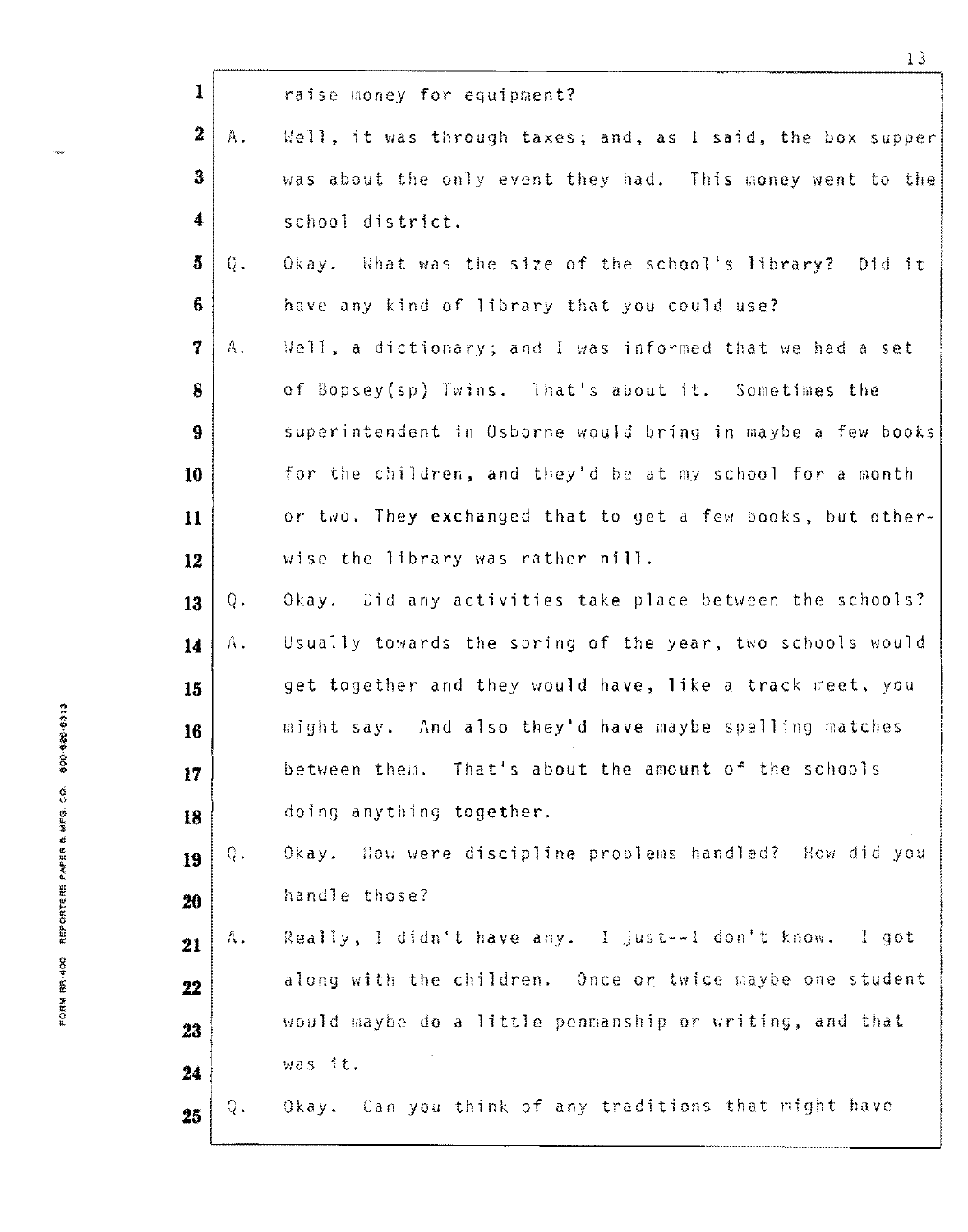|                                         | $\bf{1}$             |              | raise money for equipment?                                 |
|-----------------------------------------|----------------------|--------------|------------------------------------------------------------|
|                                         | $\mathbf{z}$         | $A_{\infty}$ | Well, it was through taxes; and, as I said, the box supper |
|                                         | 3                    |              | was about the only event they had. This money went to the  |
|                                         | $\blacktriangleleft$ |              | school district.                                           |
|                                         | 5                    | Q.           | Okay. What was the size of the school's library? Did it    |
|                                         | 6                    |              | have any kind of library that you could use?               |
|                                         | 7                    | А.           | Well, a dictionary; and I was informed that we had a set   |
|                                         | 8                    |              | of Bopsey(sp) Twins. That's about it. Sometimes the        |
|                                         | 9                    |              | superintendent in Osborne would bring in maybe a few books |
|                                         | 10                   |              | for the children, and they'd be at my school for a month   |
|                                         | 11                   |              | or two. They exchanged that to get a few books, but other- |
|                                         | 12                   |              | wise the library was rather nill.                          |
|                                         | 13                   | Q.           | Okay. Did any activities take place between the schools?   |
|                                         | 14                   | Α.           | Usually towards the spring of the year, two schools would  |
|                                         | 15                   |              | get together and they would have, like a track meet, you   |
| 800-828-6313                            | 16                   |              | might say. And also they'd have maybe spelling matches     |
|                                         | 17                   |              | between them. That's about the amount of the schools       |
|                                         | 18                   |              | doing anything together.                                   |
| FOLNY 医软'400 一 医四牙口出血出血 矿长矿斑素 肴 案所段。COF | 19                   | Q.           | Okay. How were discipline problems handled? How did you    |
|                                         | 20                   |              | handle those?                                              |
|                                         | 21                   | Α.           | Really, I didn't have any. I just--I don't know. I got     |
|                                         | 22                   |              | along with the children. Once or twice maybe one student   |
|                                         | 23                   |              | would maybe do a little penmanship or writing, and that    |
|                                         | 24                   |              | was it.                                                    |
|                                         | 25                   | Q.           | Okay. Can you think of any traditions that might have      |
|                                         |                      |              |                                                            |

 $\ddot{}$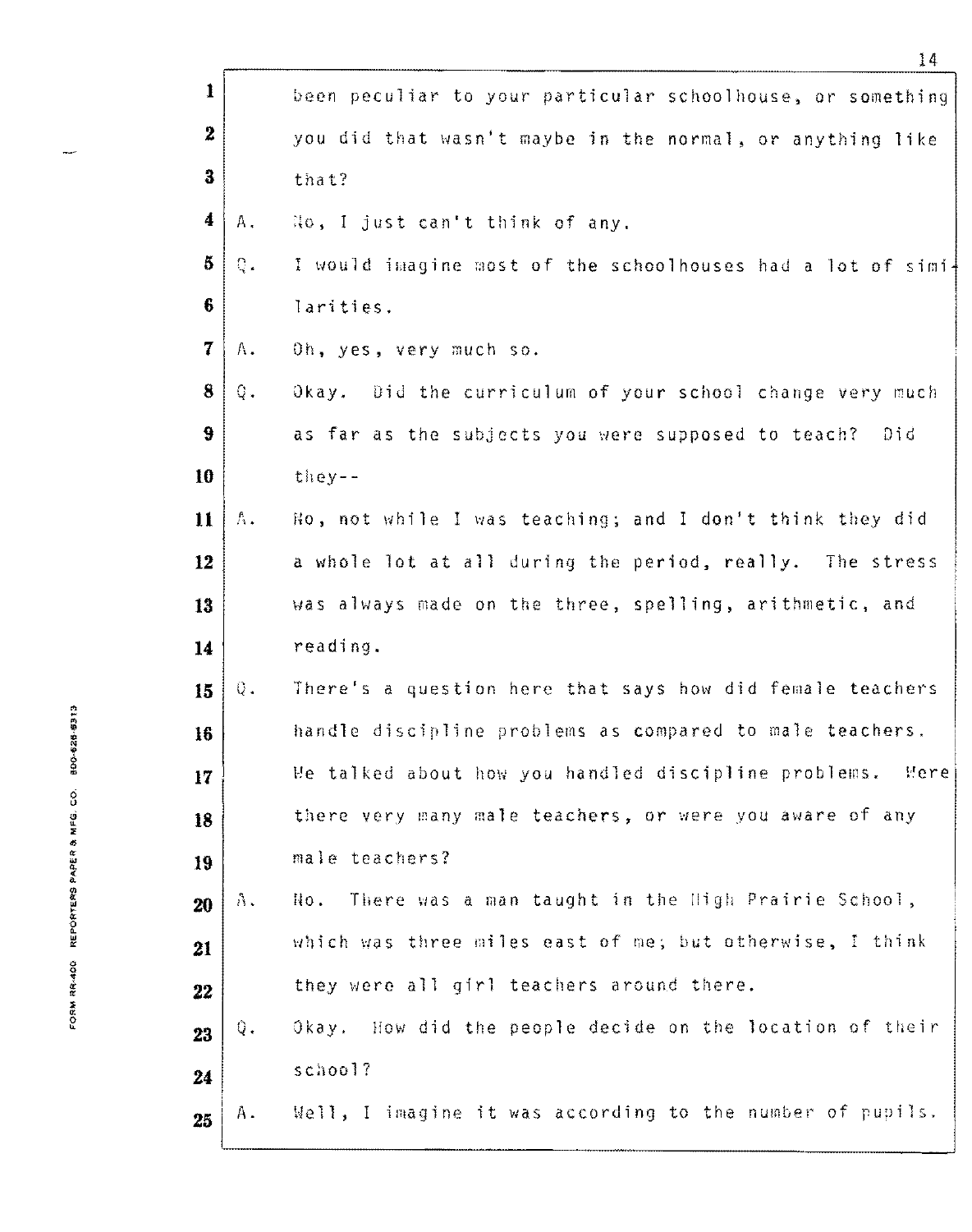|                                            | 1                        |             | been peculiar to your particular schoolhouse, or something   |
|--------------------------------------------|--------------------------|-------------|--------------------------------------------------------------|
|                                            | $\mathbf{2}$             |             | you did that wasn't maybe in the normal, or anything like    |
|                                            | 3                        |             | that?                                                        |
|                                            | 4                        | Α.          | Ho, I just can't think of any.                               |
|                                            | 5.                       | $Q_{\star}$ | I would imagine most of the schoolhouses had a lot of simi-  |
|                                            | 6                        |             | larities.                                                    |
|                                            | $\overline{\mathcal{I}}$ | Α.          | Oh, yes, very much so.                                       |
|                                            | 8                        | Q.          | Okay. Did the curriculum of your school change very much     |
|                                            | 9                        |             | as far as the subjects you were supposed to teach?<br>Did    |
|                                            | 10                       |             | $t$ hey--                                                    |
|                                            | $\mathbf{11}$            | $\hbar$ .   | No, not while I was teaching; and I don't think they did     |
|                                            | 12                       |             | a whole lot at all during the period, really. The stress     |
|                                            | 13                       |             | was always made on the three, spelling, arithmetic, and      |
|                                            | 14                       |             | reading.                                                     |
|                                            | 15                       | Q.          | There's a question here that says how did female teachers    |
| 内一的脚 锻剂带 白白田                               | 16                       |             | handle discipline problems as compared to male teachers.     |
|                                            | 17                       |             | We talked about how you handled discipline problems.<br>Mere |
| <b>EQUARER AND REPORTERS IN ACTIVITION</b> | 18                       |             | there very many male teachers, or were you aware of any      |
|                                            | 19                       |             | male teachers?                                               |
|                                            | 20                       | $\Lambda$ . | There was a man taught in the High Prairie School,<br>No.    |
|                                            | 21                       |             | which was three miles east of me; but otherwise, I think     |
|                                            | 22                       |             | they were all girl teachers around there.                    |
|                                            | 23                       | Q.          | Okay. How did the people decide on the location of their     |
|                                            | 24                       |             | school?                                                      |
|                                            | 25                       | Α.          | Well, I imagine it was according to the number of pupils.    |
|                                            |                          |             |                                                              |

 $\overline{a}$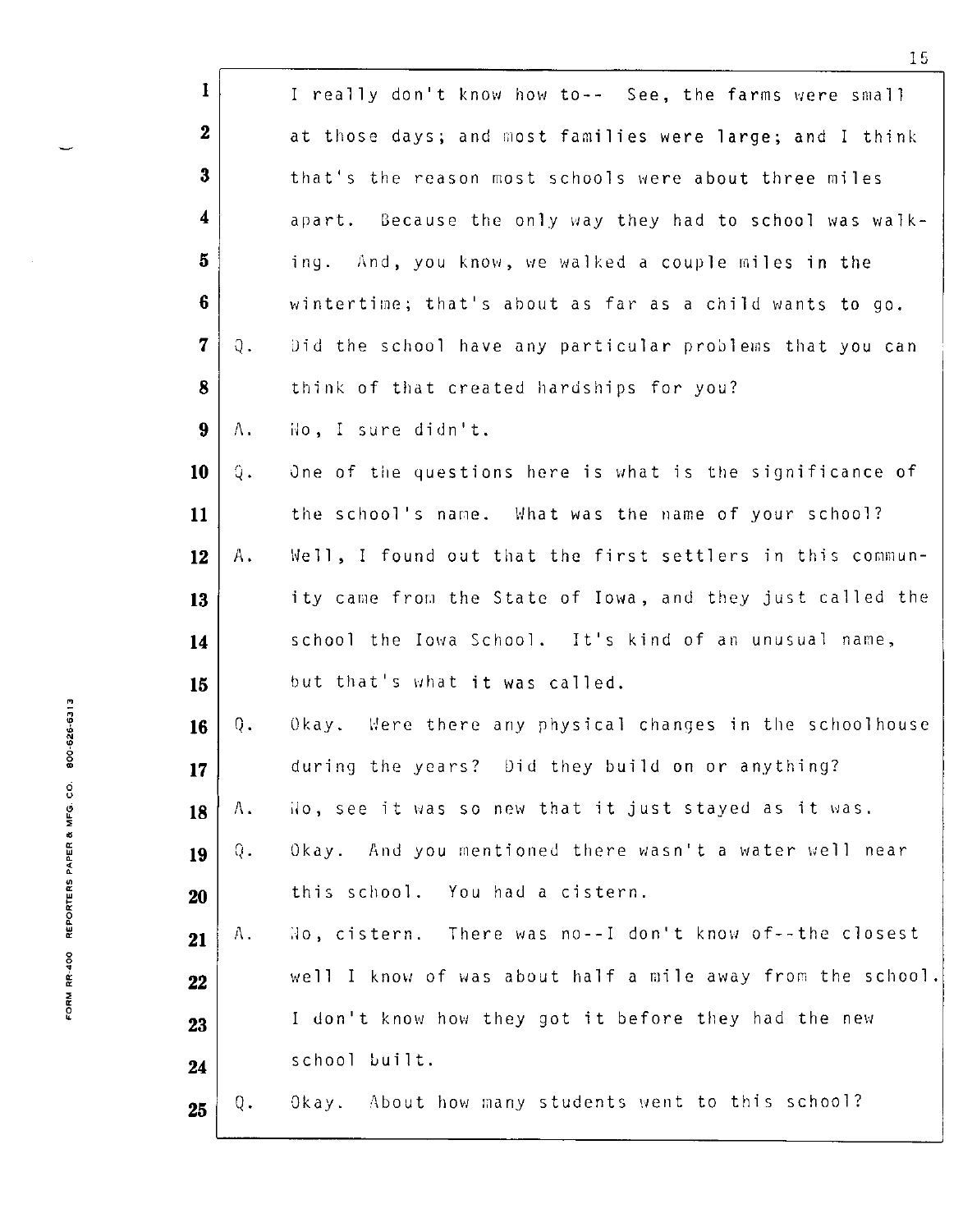|                           | $\bf{l}$                |                  | I really don't know how to-- See, the farms were small     |
|---------------------------|-------------------------|------------------|------------------------------------------------------------|
|                           | $\boldsymbol{2}$        |                  | at those days; and most families were large; and I think   |
|                           | 3                       |                  | that's the reason most schools were about three miles      |
|                           | 4                       |                  | apart. Because the only way they had to school was walk-   |
|                           | 5                       |                  | And, you know, we walked a couple miles in the<br>ing.     |
|                           | 6                       |                  | wintertime; that's about as far as a child wants to go.    |
|                           | $\overline{\mathbf{7}}$ | $\mathfrak{0}$ . | Did the school have any particular problems that you can   |
|                           | 8                       |                  | think of that created hardships for you?                   |
|                           | $9\phantom{.}$          | Λ.               | No, I sure didn't.                                         |
|                           | 10                      | Q.               | One of the questions here is what is the significance of   |
|                           | 11                      |                  | the school's name. What was the name of your school?       |
|                           | 12                      | Α.               | Well, I found out that the first settlers in this commun-  |
|                           | 13                      |                  | ity came from the State of Iowa, and they just called the  |
|                           | 14                      |                  | school the Iowa School. It's kind of an unusual name,      |
|                           | 15                      |                  | but that's what it was called.                             |
| 800-626-6313              | 16                      | Q.               | Okay. Were there any physical changes in the schoolhouse   |
|                           | 17                      |                  | during the years? Did they build on or anything?           |
| REPORTERS PAPER & MFG. CO | 18                      | Α.               | Ho, see it was so new that it just stayed as it was.       |
|                           | 19                      | Q.               | Okay. And you mentioned there wasn't a water well near     |
|                           | 20                      |                  | this school. You had a cistern.                            |
|                           | 21                      | Α.               | No, cistern. There was no--I don't know of--the closest    |
| FORM RP-400               | 22                      |                  | well I know of was about half a mile away from the school. |
|                           | 23                      |                  | I don't know how they got it before they had the new       |
|                           | 24                      |                  | school built.                                              |
|                           | 25                      | Q.               | Okay. About how many students went to this school?         |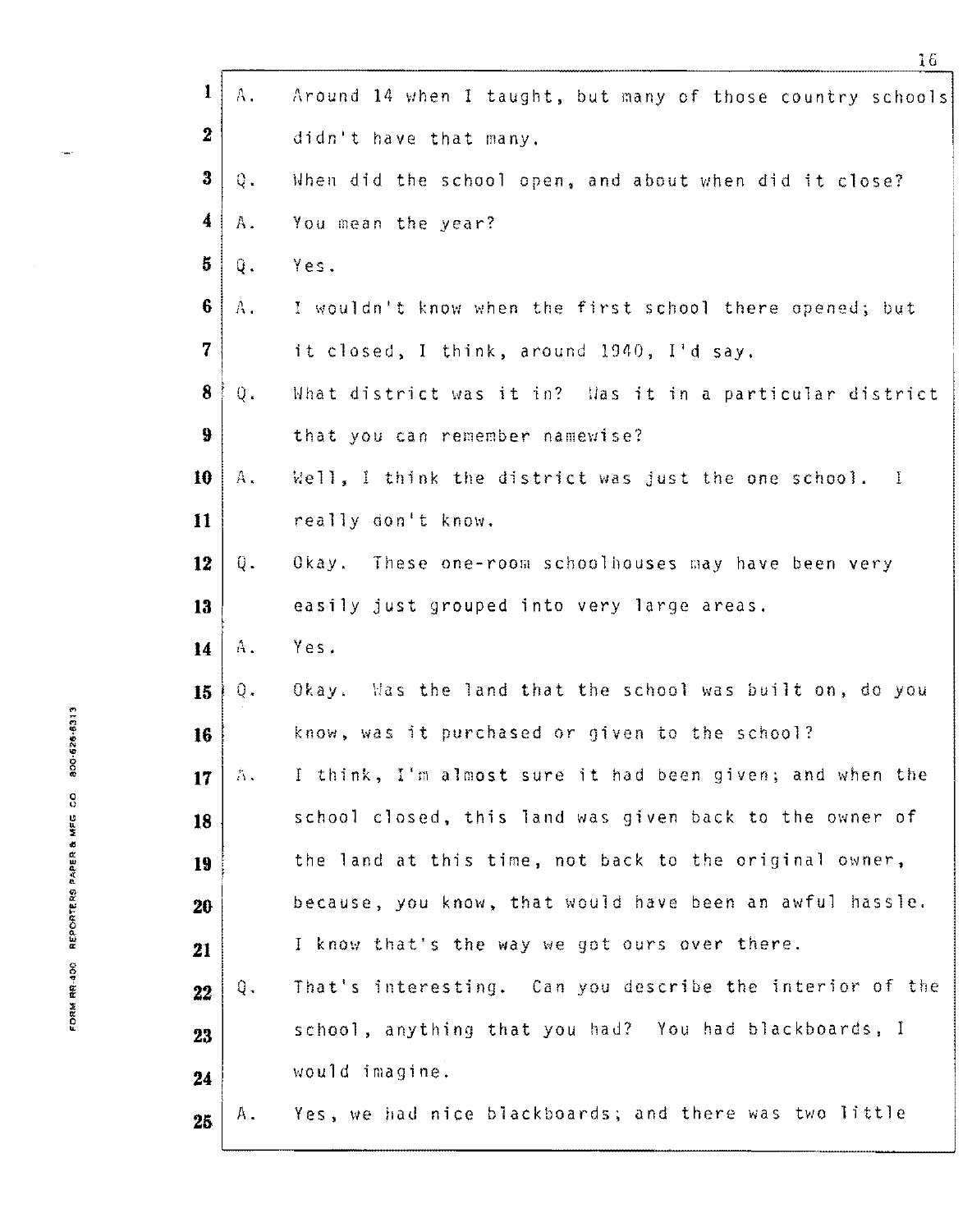| $\mathbf{1}$            | Α.          | Around 14 when I taught, but many of those country schools |
|-------------------------|-------------|------------------------------------------------------------|
| $\boldsymbol{2}$        |             | didn't have that many.                                     |
| 3                       | $\bf Q$ .   | When did the school open, and about when did it close?     |
| 4                       | A.          | You mean the year?                                         |
| 5                       | Q.          | Yes.                                                       |
| 6                       | Α.          | I wouldn't know when the first school there opened; but    |
| $\overline{\mathbf{7}}$ |             | it closed, I think, around 1940, I'd say.                  |
| 8                       | $0$ .       | What district was it in? Was it in a particular district   |
| 9                       |             | that you can remember namewise?                            |
| 10                      | $A$ .       | Well, I think the district was just the one school. I      |
| 11                      |             | really don't know.                                         |
| 12                      | Q.          | Okay. These one-room schoolhouses may have been very       |
| 13                      |             | easily just grouped into very large areas.                 |
| 14                      | A.          | Yes.                                                       |
| 15                      | $Q$ .       | Okay. Was the land that the school was built on, do you    |
| 16                      |             | know, was it purchased or given to the school?             |
| 17                      | $\Lambda$ . | I think, I'm almost sure it had been given; and when the   |
| 18                      |             | school closed, this land was given back to the owner of    |
| 19                      |             | the land at this time, not back to the original owner,     |
| 20                      |             | because, you know, that would have been an awful hassle.   |
| 21                      |             | I know that's the way we got ours over there.              |
| 22                      | Q.          | That's interesting. Can you describe the interior of the   |
| 23                      |             | school, anything that you had? You had blackboards, I      |
| 24                      |             | would imagine.                                             |
| 25                      | А.          | Yes, we had nice blackboards; and there was two little     |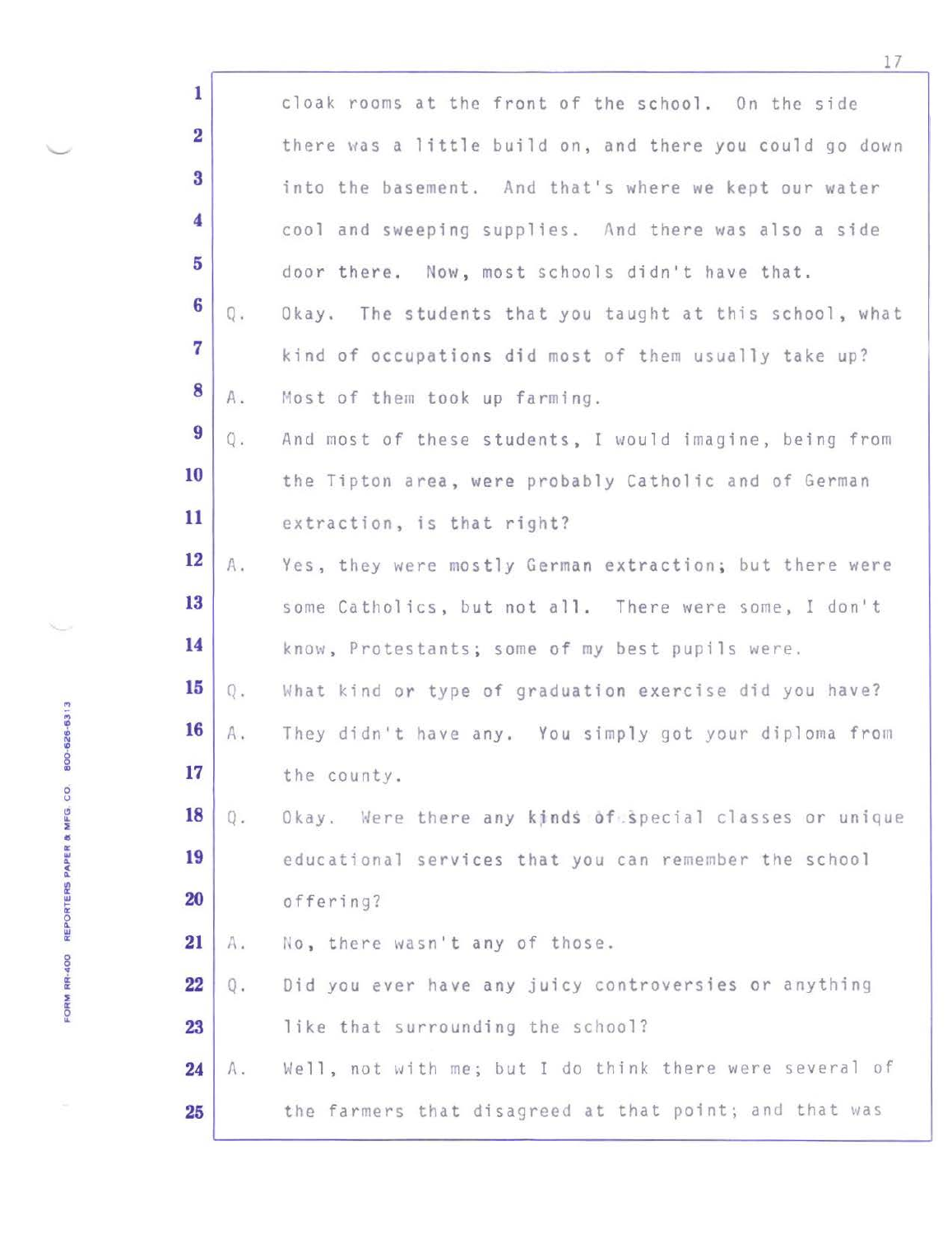| $\mathbf{1}$            |       | cloak rooms at the front of the school. On the side      |
|-------------------------|-------|----------------------------------------------------------|
| $\overline{\mathbf{2}}$ |       | there was a little build on, and there you could go down |
| $\overline{\mathbf{3}}$ |       | into the basement. And that's where we kept our water    |
| $\overline{\mathbf{4}}$ |       | cool and sweeping supplies. And there was also a side    |
| 5                       |       | door there. Now, most schools didn't have that.          |
| $6\phantom{a}$          | Q.    | Okay. The students that you taught at this school, what  |
| $\overline{7}$          |       | kind of occupations did most of them usually take up?    |
| 8                       | Α.    | Most of them took up farming.                            |
| 9                       | $Q$ . | And most of these students, I would imagine, being from  |
| 10                      |       | the Tipton area, were probably Catholic and of German    |
| 11                      |       | extraction, is that right?                               |
| 12                      |       |                                                          |
| 13                      | A.    | Yes, they were mostly German extraction; but there were  |
|                         |       | some Catholics, but not all. There were some, I don't    |
| 14                      |       | know, Protestants; some of my best pupils were.          |
| 15                      | Q.    | What kind or type of graduation exercise did you have?   |
| 16                      | A.    | They didn't have any. You simply got your diploma from   |
| 17                      |       | the county.                                              |
| 18                      | Q.    | Okay. Were there any kinds of special classes or unique  |
| 19                      |       | educational services that you can remember the school    |
| 20                      |       | offering?                                                |
| 21                      | Α.    | No, there wasn't any of those.                           |
| 22                      | Q.    | Did you ever have any juicy controversies or anything    |
| 23                      |       | like that surrounding the school?                        |
| 24                      | Α.    | Well, not with me; but I do think there were several of  |
| 25                      |       | the farmers that disagreed at that point; and that was   |
|                         |       |                                                          |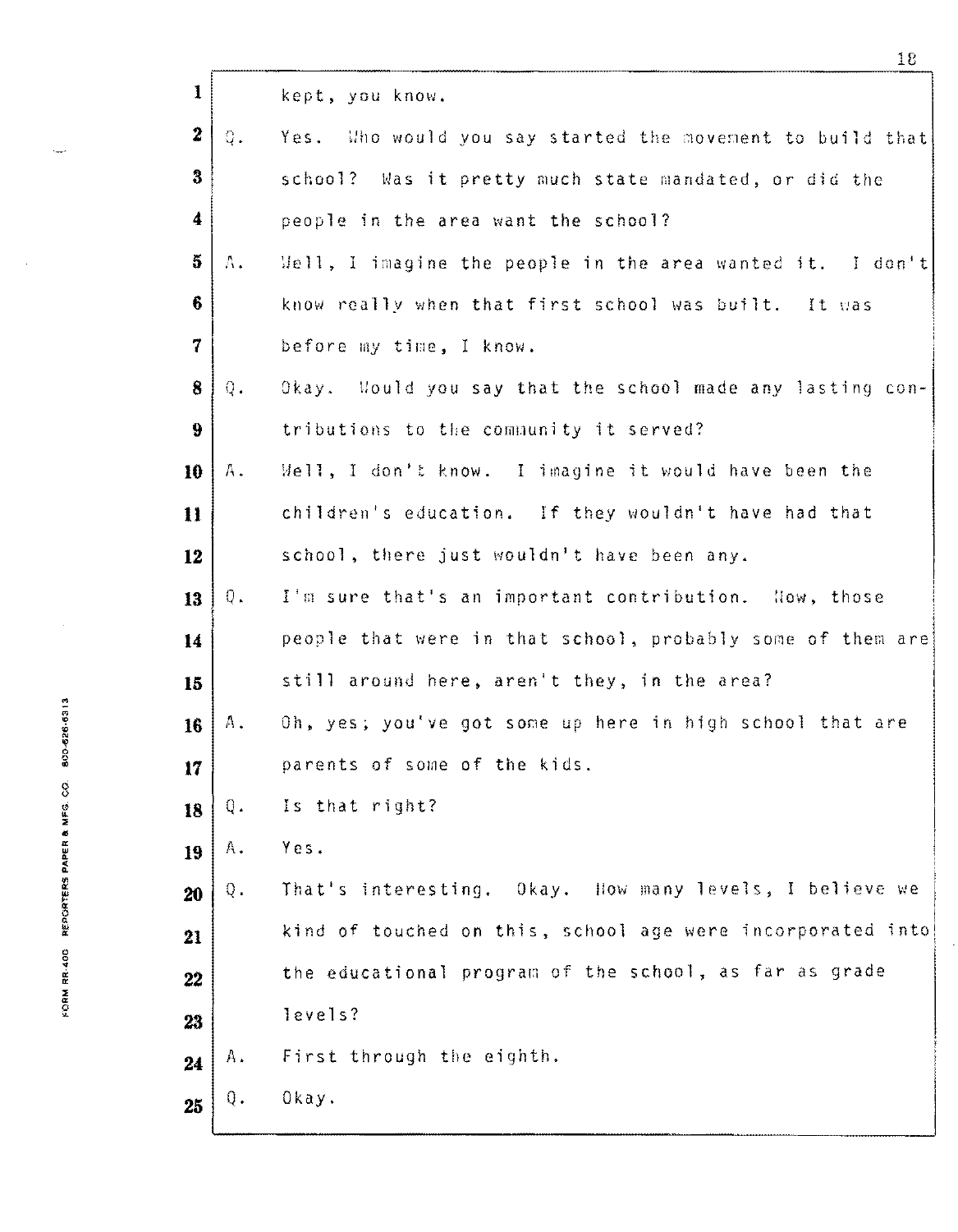| $\mathbf{I}$             |                  | kept, you know.                                            |
|--------------------------|------------------|------------------------------------------------------------|
| $\boldsymbol{2}$         | $Q_{\bullet}$    | Yes. Who would you say started the movement to build that  |
| $\bf{3}$                 |                  | school? Was it pretty much state mandated, or did the      |
| $\boldsymbol{4}$         |                  | people in the area want the school?                        |
| $\overline{5}$           | Λ.               | Well, I imagine the people in the area wanted it. I don't  |
| 6                        |                  | know really when that first school was built. It was       |
| $\overline{\mathcal{U}}$ |                  | before my time, I know.                                    |
| 8                        | $\Omega_{\rm m}$ | Okay. Would you say that the school made any lasting con-  |
| 9                        |                  | tributions to the community it served?                     |
| 10                       | Α.               | Well, I don't know. I imagine it would have been the       |
| $\mathbf{11}$            |                  | children's education. If they wouldn't have had that       |
| 12                       |                  | school, there just wouldn't have been any.                 |
| 13                       | $Q_{\bullet}$    | I'm sure that's an important contribution. Now, those      |
| 14                       |                  | people that were in that school, probably some of them are |
| 15                       |                  | still around here, aren't they, in the area?               |
| 16                       | Α.               | Oh, yes; you've got some up here in high school that are   |
| 17 <sub>1</sub>          |                  | parents of some of the kids.                               |
| 18                       | Q.               | Is that right?                                             |
| 19                       | A.               | Yes.                                                       |
| 20                       | Q.               | That's interesting. Okay. How many levels, I believe we    |
| 21                       |                  | kind of touched on this, school age were incorporated into |
| 22                       |                  | the educational program of the school, as far as grade     |
| 23                       |                  | levels?                                                    |
| 24                       | Α.               | First through the eighth.                                  |
| 25                       | Q.               | Okay.                                                      |

FORM RR-400 REPORTERS PAPER & MFG. CO. 800-626-6313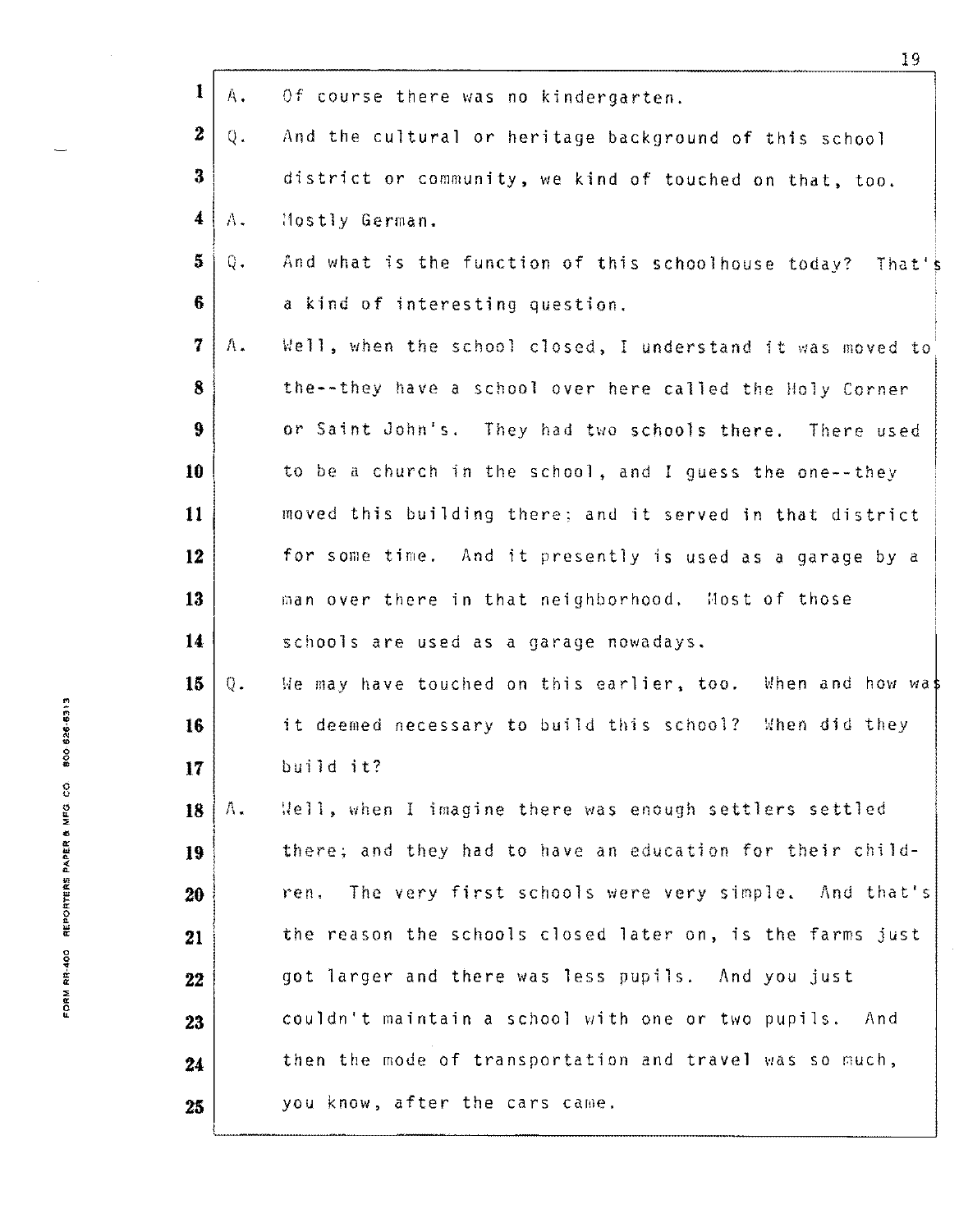|                      |             | キュ                                                          |
|----------------------|-------------|-------------------------------------------------------------|
| $\mathbf{I}$         | $A_{\star}$ | Of course there was no kindergarten.                        |
| $\boldsymbol{2}$     | Q.          | And the cultural or heritage background of this school      |
| 3                    |             | district or community, we kind of touched on that, too.     |
| $\blacktriangleleft$ | Α.          | Mostly German.                                              |
| $\overline{5}$       | Q.          | And what is the function of this schoolhouse today? That's  |
| $6\phantom{1}$       |             | a kind of interesting question.                             |
| 7                    | $\Lambda$ . | Well, when the school closed, I understand it was moved to  |
| 8                    |             | the--they have a school over here called the Holy Corner    |
| $\boldsymbol{9}$     |             | or Saint John's. They had two schools there. There used     |
| 10                   |             | to be a church in the school, and I guess the one--they     |
| 11                   |             | moved this building there; and it served in that district   |
| 12                   |             | for some time. And it presently is used as a garage by a    |
| 13                   |             | man over there in that neighborhood. Most of those          |
| 14                   |             | schools are used as a garage nowadays.                      |
| 15                   | $Q$ .       | We may have touched on this earlier, too. When and how was  |
| 16                   |             | it deemed necessary to build this school? When did they     |
| 17                   |             | build it?                                                   |
| 18                   | $\Lambda$ . | Well, when I imagine there was enough settlers settled      |
| 19                   |             | there; and they had to have an education for their child-   |
| 20                   |             | The very first schools were very simple. And that's<br>ren. |
| 21                   |             | the reason the schools closed later on, is the farms just   |
| 22                   |             | got larger and there was less pupils. And you just          |
| 23                   |             | couldn't maintain a school with one or two pupils. And      |
| 24                   |             | then the mode of transportation and travel was so much,     |
| 25                   |             | you know, after the cars came.                              |

 $\ddot{\phantom{a}}$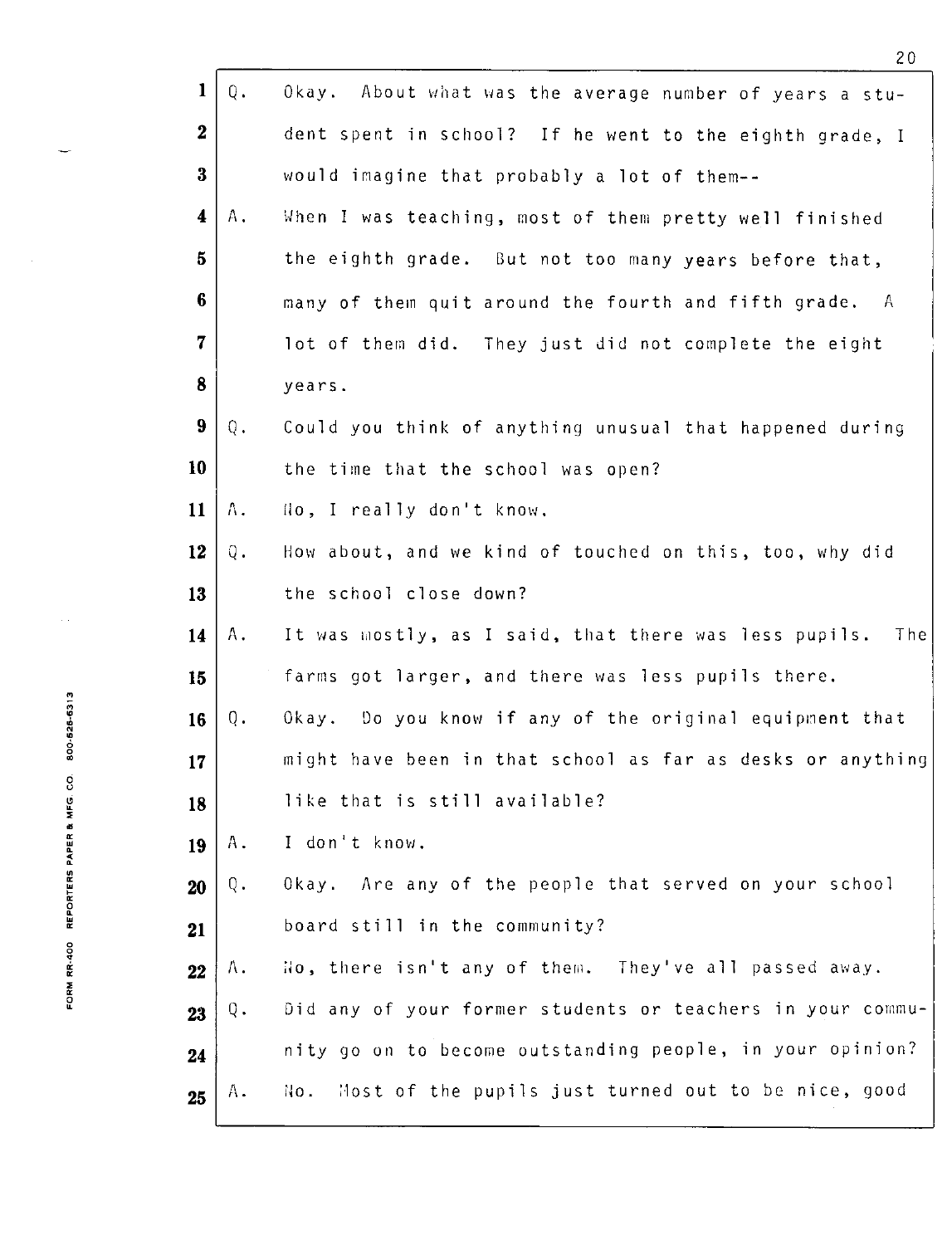|                                        |                         |               | 20                                                           |
|----------------------------------------|-------------------------|---------------|--------------------------------------------------------------|
|                                        | $\mathbf{1}$            | $Q_{\bullet}$ | Okay. About what was the average number of years a stu-      |
|                                        | $\boldsymbol{2}$        |               | dent spent in school? If he went to the eighth grade, I      |
|                                        | $\bf{3}$                |               | would imagine that probably a lot of them--                  |
|                                        | $\overline{\mathbf{4}}$ | Α.            | When I was teaching, most of them pretty well finished       |
|                                        | $\bf{5}$                |               | the eighth grade. But not too many years before that,        |
|                                        | 6                       |               | many of them quit around the fourth and fifth grade. A       |
|                                        | $\overline{7}$          |               | lot of them did. They just did not complete the eight        |
|                                        | 8                       |               | years.                                                       |
|                                        | 9                       | Q.            | Could you think of anything unusual that happened during     |
|                                        | 10                      |               | the time that the school was open?                           |
|                                        | 11                      | Λ.            | No, I really don't know.                                     |
|                                        | 12                      | Q.            | How about, and we kind of touched on this, too, why did      |
|                                        | 13                      |               | the school close down?                                       |
|                                        | 14                      | Α.            | It was mostly, as I said, that there was less pupils.<br>The |
|                                        | 15                      |               | farms got larger, and there was less pupils there.           |
| 525-6313                               | 16                      | Q.            | Okay. Do you know if any of the original equipment that      |
| 8                                      | 17                      |               | might have been in that school as far as desks or anything   |
| FORM RR-400 REPORTERS PAPER & MFG. CO. | 18                      |               | like that is still available?                                |
|                                        | 19                      | Α.            | I don't know.                                                |
|                                        | 20                      | Q.            | Okay. Are any of the people that served on your school       |
|                                        | 21                      |               | board still in the community?                                |
|                                        | 22                      | Λ.            | No, there isn't any of them. They've all passed away.        |
|                                        | 23                      | Q.            | Did any of your former students or teachers in your commu-   |
|                                        | 24                      |               | nity go on to become outstanding people, in your opinion?    |
|                                        | 25                      | Α.            | Most of the pupils just turned out to be nice, good<br>No.   |
|                                        |                         |               |                                                              |

ŏ • " 0 • w 0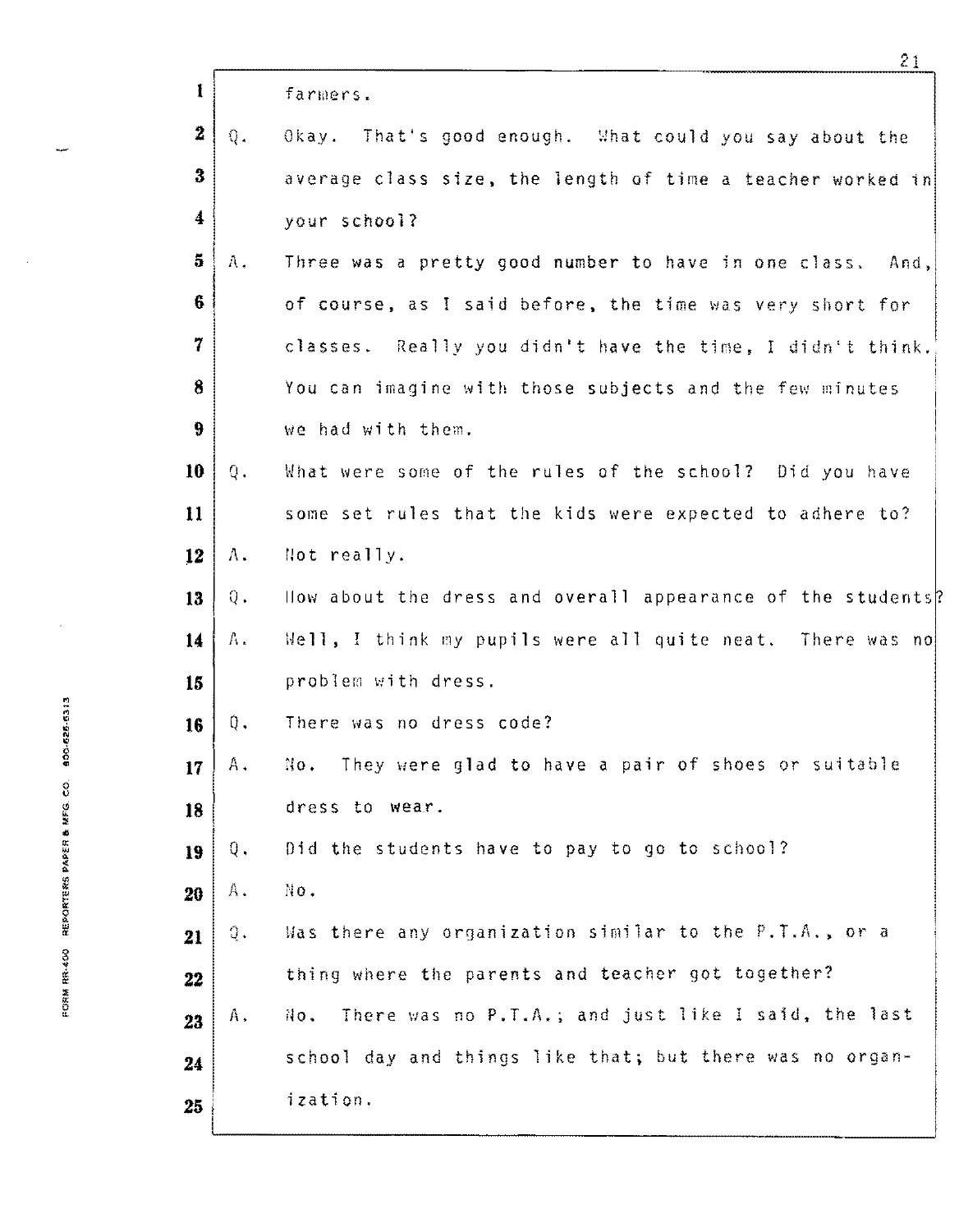|                      |               | ረ ገ                                                         |  |
|----------------------|---------------|-------------------------------------------------------------|--|
| $\mathbf{I}$         |               | farmers.                                                    |  |
| $\mathbf{z}$         | $Q_{\star}$   | Okay. That's good enough. What could you say about the      |  |
| $\bf{3}$             |               | average class size, the length of time a teacher worked in  |  |
| $\blacktriangleleft$ |               | your school?                                                |  |
| $5^{\circ}$          | A.            | Three was a pretty good number to have in one class. And,   |  |
| 6                    |               | of course, as I said before, the time was very short for    |  |
|                      |               | classes. Really you didn't have the time, I didn't think.   |  |
| $\bf{8}$             |               | You can imagine with those subjects and the few minutes     |  |
| $\boldsymbol{9}$     |               | we had with them.                                           |  |
| 10                   | Q.            | What were some of the rules of the school? Did you have     |  |
| 11                   |               | some set rules that the kids were expected to adhere to?    |  |
| 12                   | Α.            | Not really.                                                 |  |
| 13                   | $Q_{\bullet}$ | How about the dress and overall appearance of the students? |  |
| 14                   | Α.            | Well, I think my pupils were all quite neat. There was no   |  |
| 15                   |               | problem with dress.                                         |  |
| 16                   | $Q$ .         | There was no dress code?                                    |  |
| 17                   | А.            | No. They were glad to have a pair of shoes or suitable      |  |
| 18                   |               | dress to wear.                                              |  |
| 19                   | Q.            | Did the students have to pay to go to school?               |  |
| 20                   | Α.            | No.                                                         |  |
| 21                   | ą.            | Was there any organization similar to the P.T.A., or a      |  |
| 22                   |               | thing where the parents and teacher got together?           |  |
| 23                   | Α,            | There was no P.T.A.; and just like I said, the last<br>No.  |  |
| 24                   |               | school day and things like that; but there was no organ-    |  |
| 25                   |               | ization.                                                    |  |
|                      |               |                                                             |  |

 $\bar{z}$